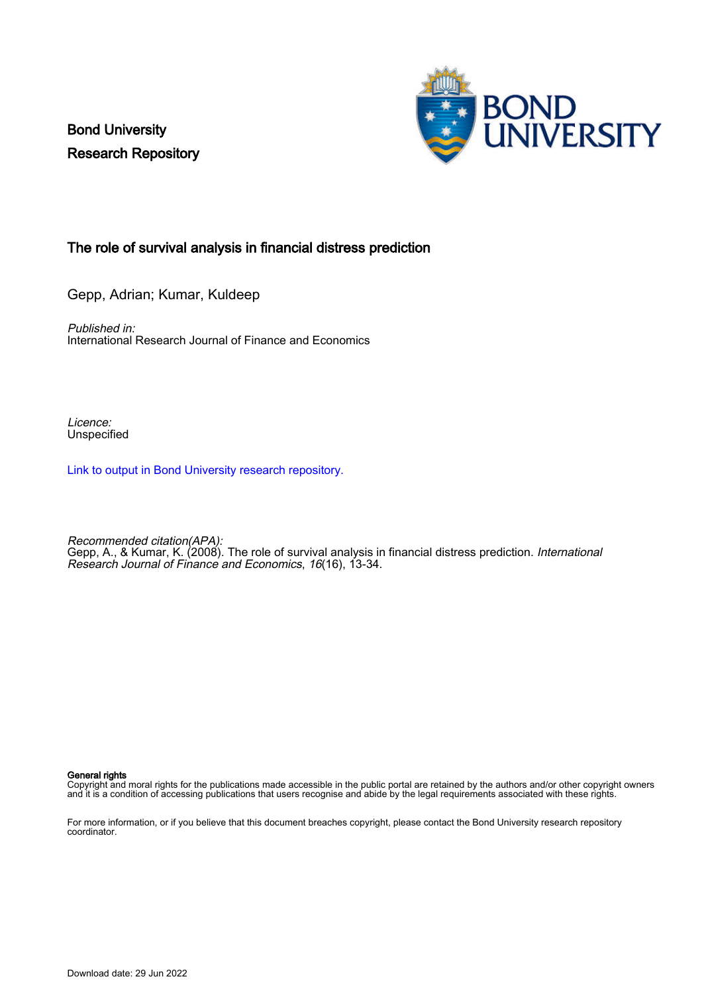Bond University Research Repository



## The role of survival analysis in financial distress prediction

Gepp, Adrian; Kumar, Kuldeep

Published in: International Research Journal of Finance and Economics

Licence: **Unspecified** 

[Link to output in Bond University research repository.](https://research.bond.edu.au/en/publications/f4813bee-a4c2-4f2f-889d-89fe5a466d66)

Recommended citation(APA): Gepp, A., & Kumar, K. (2008). The role of survival analysis in financial distress prediction. International Research Journal of Finance and Economics, 16(16), 13-34.

#### General rights

Copyright and moral rights for the publications made accessible in the public portal are retained by the authors and/or other copyright owners and it is a condition of accessing publications that users recognise and abide by the legal requirements associated with these rights.

For more information, or if you believe that this document breaches copyright, please contact the Bond University research repository coordinator.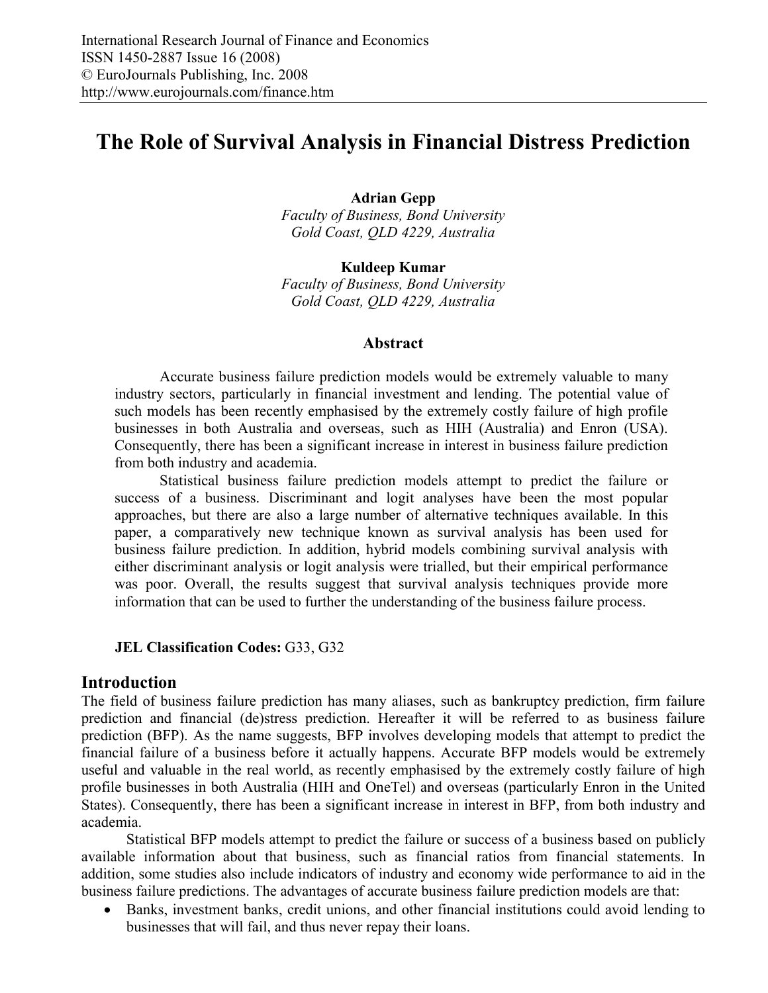# **The Role of Survival Analysis in Financial Distress Prediction**

**Adrian Gepp** 

*Faculty of Business, Bond University Gold Coast, QLD 4229, Australia* 

**Kuldeep Kumar**  *Faculty of Business, Bond University Gold Coast, QLD 4229, Australia* 

#### **Abstract**

Accurate business failure prediction models would be extremely valuable to many industry sectors, particularly in financial investment and lending. The potential value of such models has been recently emphasised by the extremely costly failure of high profile businesses in both Australia and overseas, such as HIH (Australia) and Enron (USA). Consequently, there has been a significant increase in interest in business failure prediction from both industry and academia.

Statistical business failure prediction models attempt to predict the failure or success of a business. Discriminant and logit analyses have been the most popular approaches, but there are also a large number of alternative techniques available. In this paper, a comparatively new technique known as survival analysis has been used for business failure prediction. In addition, hybrid models combining survival analysis with either discriminant analysis or logit analysis were trialled, but their empirical performance was poor. Overall, the results suggest that survival analysis techniques provide more information that can be used to further the understanding of the business failure process.

#### **JEL Classification Codes:** G33, G32

## **Introduction**

The field of business failure prediction has many aliases, such as bankruptcy prediction, firm failure prediction and financial (de)stress prediction. Hereafter it will be referred to as business failure prediction (BFP). As the name suggests, BFP involves developing models that attempt to predict the financial failure of a business before it actually happens. Accurate BFP models would be extremely useful and valuable in the real world, as recently emphasised by the extremely costly failure of high profile businesses in both Australia (HIH and OneTel) and overseas (particularly Enron in the United States). Consequently, there has been a significant increase in interest in BFP, from both industry and academia.

Statistical BFP models attempt to predict the failure or success of a business based on publicly available information about that business, such as financial ratios from financial statements. In addition, some studies also include indicators of industry and economy wide performance to aid in the business failure predictions. The advantages of accurate business failure prediction models are that:

• Banks, investment banks, credit unions, and other financial institutions could avoid lending to businesses that will fail, and thus never repay their loans.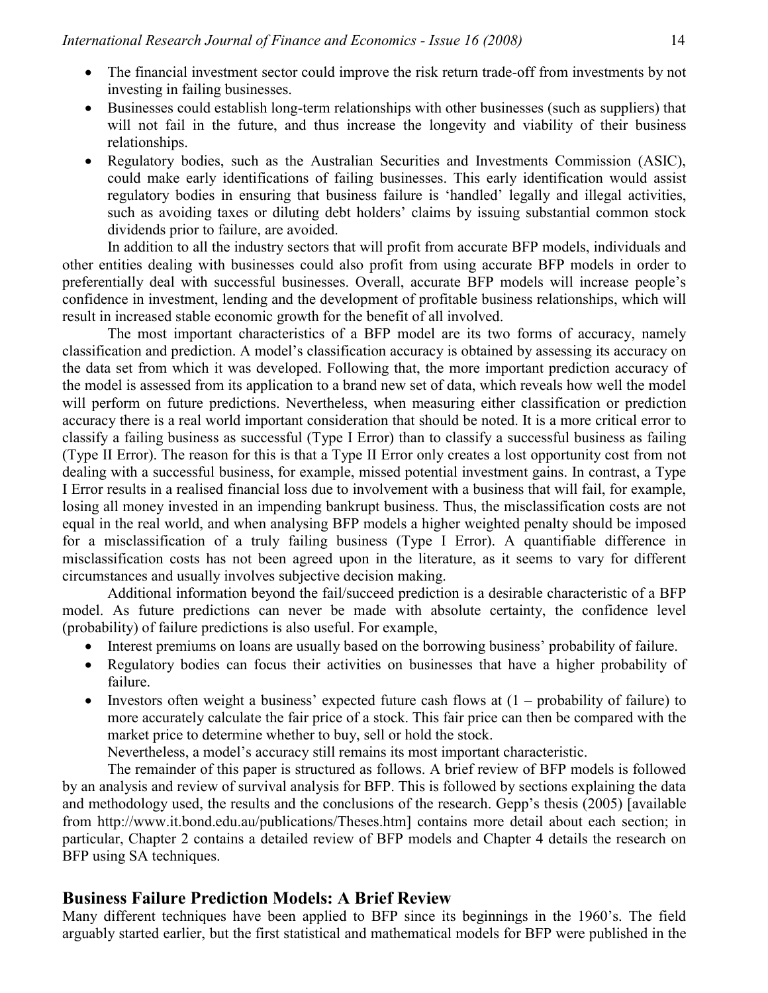- The financial investment sector could improve the risk return trade-off from investments by not investing in failing businesses.
- Businesses could establish long-term relationships with other businesses (such as suppliers) that will not fail in the future, and thus increase the longevity and viability of their business relationships.
- Regulatory bodies, such as the Australian Securities and Investments Commission (ASIC), could make early identifications of failing businesses. This early identification would assist regulatory bodies in ensuring that business failure is 'handled' legally and illegal activities, such as avoiding taxes or diluting debt holders' claims by issuing substantial common stock dividends prior to failure, are avoided.

In addition to all the industry sectors that will profit from accurate BFP models, individuals and other entities dealing with businesses could also profit from using accurate BFP models in order to preferentially deal with successful businesses. Overall, accurate BFP models will increase people's confidence in investment, lending and the development of profitable business relationships, which will result in increased stable economic growth for the benefit of all involved.

The most important characteristics of a BFP model are its two forms of accuracy, namely classification and prediction. A model's classification accuracy is obtained by assessing its accuracy on the data set from which it was developed. Following that, the more important prediction accuracy of the model is assessed from its application to a brand new set of data, which reveals how well the model will perform on future predictions. Nevertheless, when measuring either classification or prediction accuracy there is a real world important consideration that should be noted. It is a more critical error to classify a failing business as successful (Type I Error) than to classify a successful business as failing (Type II Error). The reason for this is that a Type II Error only creates a lost opportunity cost from not dealing with a successful business, for example, missed potential investment gains. In contrast, a Type I Error results in a realised financial loss due to involvement with a business that will fail, for example, losing all money invested in an impending bankrupt business. Thus, the misclassification costs are not equal in the real world, and when analysing BFP models a higher weighted penalty should be imposed for a misclassification of a truly failing business (Type I Error). A quantifiable difference in misclassification costs has not been agreed upon in the literature, as it seems to vary for different circumstances and usually involves subjective decision making.

Additional information beyond the fail/succeed prediction is a desirable characteristic of a BFP model. As future predictions can never be made with absolute certainty, the confidence level (probability) of failure predictions is also useful. For example,

- Interest premiums on loans are usually based on the borrowing business' probability of failure.
- Regulatory bodies can focus their activities on businesses that have a higher probability of failure.
- Investors often weight a business' expected future cash flows at  $(1 -$  probability of failure) to more accurately calculate the fair price of a stock. This fair price can then be compared with the market price to determine whether to buy, sell or hold the stock.

Nevertheless, a model's accuracy still remains its most important characteristic.

The remainder of this paper is structured as follows. A brief review of BFP models is followed by an analysis and review of survival analysis for BFP. This is followed by sections explaining the data and methodology used, the results and the conclusions of the research. Gepp's thesis (2005) [available from http://www.it.bond.edu.au/publications/Theses.htm] contains more detail about each section; in particular, Chapter 2 contains a detailed review of BFP models and Chapter 4 details the research on BFP using SA techniques.

## **Business Failure Prediction Models: A Brief Review**

Many different techniques have been applied to BFP since its beginnings in the 1960's. The field arguably started earlier, but the first statistical and mathematical models for BFP were published in the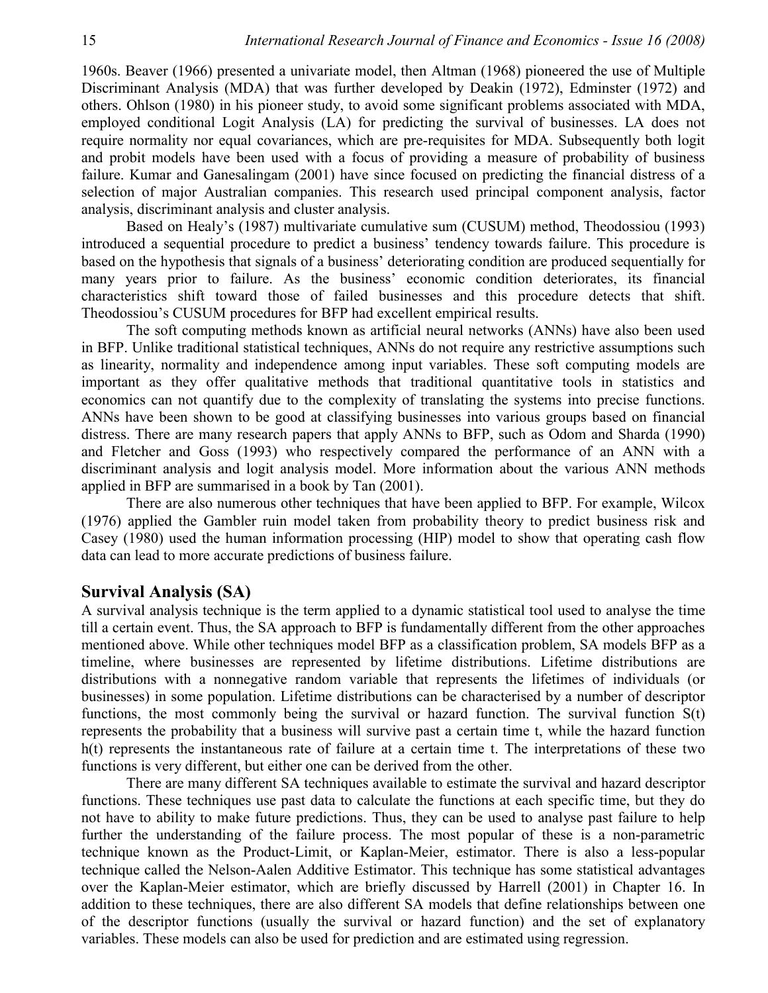1960s. Beaver (1966) presented a univariate model, then Altman (1968) pioneered the use of Multiple Discriminant Analysis (MDA) that was further developed by Deakin (1972), Edminster (1972) and others. Ohlson (1980) in his pioneer study, to avoid some significant problems associated with MDA, employed conditional Logit Analysis (LA) for predicting the survival of businesses. LA does not require normality nor equal covariances, which are pre-requisites for MDA. Subsequently both logit and probit models have been used with a focus of providing a measure of probability of business failure. Kumar and Ganesalingam (2001) have since focused on predicting the financial distress of a selection of major Australian companies. This research used principal component analysis, factor analysis, discriminant analysis and cluster analysis.

Based on Healy's (1987) multivariate cumulative sum (CUSUM) method, Theodossiou (1993) introduced a sequential procedure to predict a business' tendency towards failure. This procedure is based on the hypothesis that signals of a business' deteriorating condition are produced sequentially for many years prior to failure. As the business' economic condition deteriorates, its financial characteristics shift toward those of failed businesses and this procedure detects that shift. Theodossiou's CUSUM procedures for BFP had excellent empirical results.

The soft computing methods known as artificial neural networks (ANNs) have also been used in BFP. Unlike traditional statistical techniques, ANNs do not require any restrictive assumptions such as linearity, normality and independence among input variables. These soft computing models are important as they offer qualitative methods that traditional quantitative tools in statistics and economics can not quantify due to the complexity of translating the systems into precise functions. ANNs have been shown to be good at classifying businesses into various groups based on financial distress. There are many research papers that apply ANNs to BFP, such as Odom and Sharda (1990) and Fletcher and Goss (1993) who respectively compared the performance of an ANN with a discriminant analysis and logit analysis model. More information about the various ANN methods applied in BFP are summarised in a book by Tan (2001).

There are also numerous other techniques that have been applied to BFP. For example, Wilcox (1976) applied the Gambler ruin model taken from probability theory to predict business risk and Casey (1980) used the human information processing (HIP) model to show that operating cash flow data can lead to more accurate predictions of business failure.

## **Survival Analysis (SA)**

A survival analysis technique is the term applied to a dynamic statistical tool used to analyse the time till a certain event. Thus, the SA approach to BFP is fundamentally different from the other approaches mentioned above. While other techniques model BFP as a classification problem, SA models BFP as a timeline, where businesses are represented by lifetime distributions. Lifetime distributions are distributions with a nonnegative random variable that represents the lifetimes of individuals (or businesses) in some population. Lifetime distributions can be characterised by a number of descriptor functions, the most commonly being the survival or hazard function. The survival function S(t) represents the probability that a business will survive past a certain time t, while the hazard function h(t) represents the instantaneous rate of failure at a certain time t. The interpretations of these two functions is very different, but either one can be derived from the other.

There are many different SA techniques available to estimate the survival and hazard descriptor functions. These techniques use past data to calculate the functions at each specific time, but they do not have to ability to make future predictions. Thus, they can be used to analyse past failure to help further the understanding of the failure process. The most popular of these is a non-parametric technique known as the Product-Limit, or Kaplan-Meier, estimator. There is also a less-popular technique called the Nelson-Aalen Additive Estimator. This technique has some statistical advantages over the Kaplan-Meier estimator, which are briefly discussed by Harrell (2001) in Chapter 16. In addition to these techniques, there are also different SA models that define relationships between one of the descriptor functions (usually the survival or hazard function) and the set of explanatory variables. These models can also be used for prediction and are estimated using regression.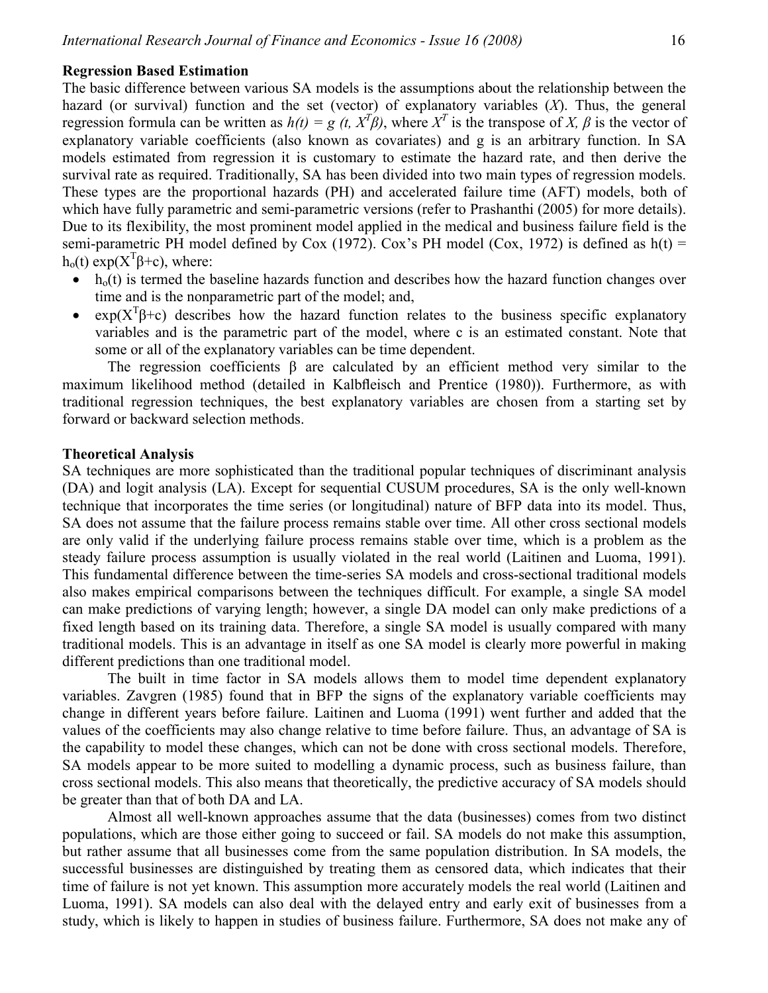#### **Regression Based Estimation**

The basic difference between various SA models is the assumptions about the relationship between the hazard (or survival) function and the set (vector) of explanatory variables (*X*). Thus, the general regression formula can be written as  $h(t) = g(t, X^T \beta)$ , where  $X^T$  is the transpose of *X*,  $\beta$  is the vector of explanatory variable coefficients (also known as covariates) and g is an arbitrary function. In SA models estimated from regression it is customary to estimate the hazard rate, and then derive the survival rate as required. Traditionally, SA has been divided into two main types of regression models. These types are the proportional hazards (PH) and accelerated failure time (AFT) models, both of which have fully parametric and semi-parametric versions (refer to Prashanthi (2005) for more details). Due to its flexibility, the most prominent model applied in the medical and business failure field is the semi-parametric PH model defined by Cox (1972). Cox's PH model (Cox, 1972) is defined as  $h(t)$  =  $h_0(t) \exp(X^T \beta + c)$ , where:

- $\bullet$  h<sub>o</sub>(t) is termed the baseline hazards function and describes how the hazard function changes over time and is the nonparametric part of the model; and,
- $exp(X^T\beta+c)$  describes how the hazard function relates to the business specific explanatory variables and is the parametric part of the model, where c is an estimated constant. Note that some or all of the explanatory variables can be time dependent.

The regression coefficients β are calculated by an efficient method very similar to the maximum likelihood method (detailed in Kalbfleisch and Prentice (1980)). Furthermore, as with traditional regression techniques, the best explanatory variables are chosen from a starting set by forward or backward selection methods.

#### **Theoretical Analysis**

SA techniques are more sophisticated than the traditional popular techniques of discriminant analysis (DA) and logit analysis (LA). Except for sequential CUSUM procedures, SA is the only well-known technique that incorporates the time series (or longitudinal) nature of BFP data into its model. Thus, SA does not assume that the failure process remains stable over time. All other cross sectional models are only valid if the underlying failure process remains stable over time, which is a problem as the steady failure process assumption is usually violated in the real world (Laitinen and Luoma, 1991). This fundamental difference between the time-series SA models and cross-sectional traditional models also makes empirical comparisons between the techniques difficult. For example, a single SA model can make predictions of varying length; however, a single DA model can only make predictions of a fixed length based on its training data. Therefore, a single SA model is usually compared with many traditional models. This is an advantage in itself as one SA model is clearly more powerful in making different predictions than one traditional model.

The built in time factor in SA models allows them to model time dependent explanatory variables. Zavgren (1985) found that in BFP the signs of the explanatory variable coefficients may change in different years before failure. Laitinen and Luoma (1991) went further and added that the values of the coefficients may also change relative to time before failure. Thus, an advantage of SA is the capability to model these changes, which can not be done with cross sectional models. Therefore, SA models appear to be more suited to modelling a dynamic process, such as business failure, than cross sectional models. This also means that theoretically, the predictive accuracy of SA models should be greater than that of both DA and LA.

Almost all well-known approaches assume that the data (businesses) comes from two distinct populations, which are those either going to succeed or fail. SA models do not make this assumption, but rather assume that all businesses come from the same population distribution. In SA models, the successful businesses are distinguished by treating them as censored data, which indicates that their time of failure is not yet known. This assumption more accurately models the real world (Laitinen and Luoma, 1991). SA models can also deal with the delayed entry and early exit of businesses from a study, which is likely to happen in studies of business failure. Furthermore, SA does not make any of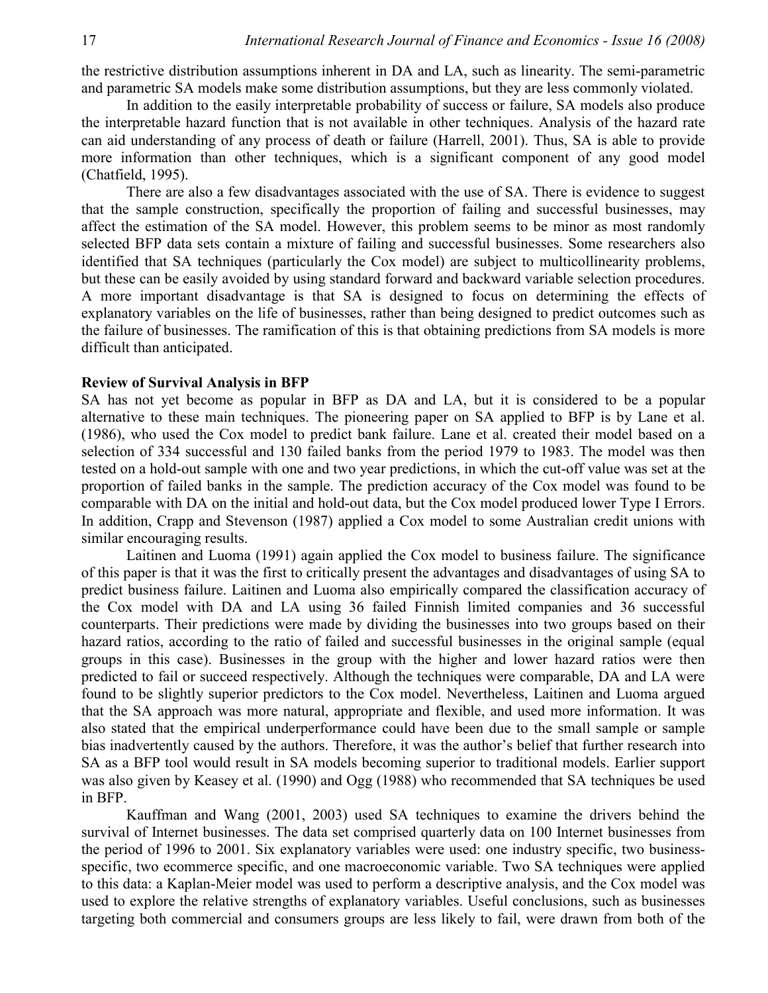the restrictive distribution assumptions inherent in DA and LA, such as linearity. The semi-parametric and parametric SA models make some distribution assumptions, but they are less commonly violated.

In addition to the easily interpretable probability of success or failure, SA models also produce the interpretable hazard function that is not available in other techniques. Analysis of the hazard rate can aid understanding of any process of death or failure (Harrell, 2001). Thus, SA is able to provide more information than other techniques, which is a significant component of any good model (Chatfield, 1995).

There are also a few disadvantages associated with the use of SA. There is evidence to suggest that the sample construction, specifically the proportion of failing and successful businesses, may affect the estimation of the SA model. However, this problem seems to be minor as most randomly selected BFP data sets contain a mixture of failing and successful businesses. Some researchers also identified that SA techniques (particularly the Cox model) are subject to multicollinearity problems, but these can be easily avoided by using standard forward and backward variable selection procedures. A more important disadvantage is that SA is designed to focus on determining the effects of explanatory variables on the life of businesses, rather than being designed to predict outcomes such as the failure of businesses. The ramification of this is that obtaining predictions from SA models is more difficult than anticipated.

#### **Review of Survival Analysis in BFP**

SA has not yet become as popular in BFP as DA and LA, but it is considered to be a popular alternative to these main techniques. The pioneering paper on SA applied to BFP is by Lane et al. (1986), who used the Cox model to predict bank failure. Lane et al. created their model based on a selection of 334 successful and 130 failed banks from the period 1979 to 1983. The model was then tested on a hold-out sample with one and two year predictions, in which the cut-off value was set at the proportion of failed banks in the sample. The prediction accuracy of the Cox model was found to be comparable with DA on the initial and hold-out data, but the Cox model produced lower Type I Errors. In addition, Crapp and Stevenson (1987) applied a Cox model to some Australian credit unions with similar encouraging results.

Laitinen and Luoma (1991) again applied the Cox model to business failure. The significance of this paper is that it was the first to critically present the advantages and disadvantages of using SA to predict business failure. Laitinen and Luoma also empirically compared the classification accuracy of the Cox model with DA and LA using 36 failed Finnish limited companies and 36 successful counterparts. Their predictions were made by dividing the businesses into two groups based on their hazard ratios, according to the ratio of failed and successful businesses in the original sample (equal groups in this case). Businesses in the group with the higher and lower hazard ratios were then predicted to fail or succeed respectively. Although the techniques were comparable, DA and LA were found to be slightly superior predictors to the Cox model. Nevertheless, Laitinen and Luoma argued that the SA approach was more natural, appropriate and flexible, and used more information. It was also stated that the empirical underperformance could have been due to the small sample or sample bias inadvertently caused by the authors. Therefore, it was the author's belief that further research into SA as a BFP tool would result in SA models becoming superior to traditional models. Earlier support was also given by Keasey et al. (1990) and Ogg (1988) who recommended that SA techniques be used in BFP.

Kauffman and Wang (2001, 2003) used SA techniques to examine the drivers behind the survival of Internet businesses. The data set comprised quarterly data on 100 Internet businesses from the period of 1996 to 2001. Six explanatory variables were used: one industry specific, two businessspecific, two ecommerce specific, and one macroeconomic variable. Two SA techniques were applied to this data: a Kaplan-Meier model was used to perform a descriptive analysis, and the Cox model was used to explore the relative strengths of explanatory variables. Useful conclusions, such as businesses targeting both commercial and consumers groups are less likely to fail, were drawn from both of the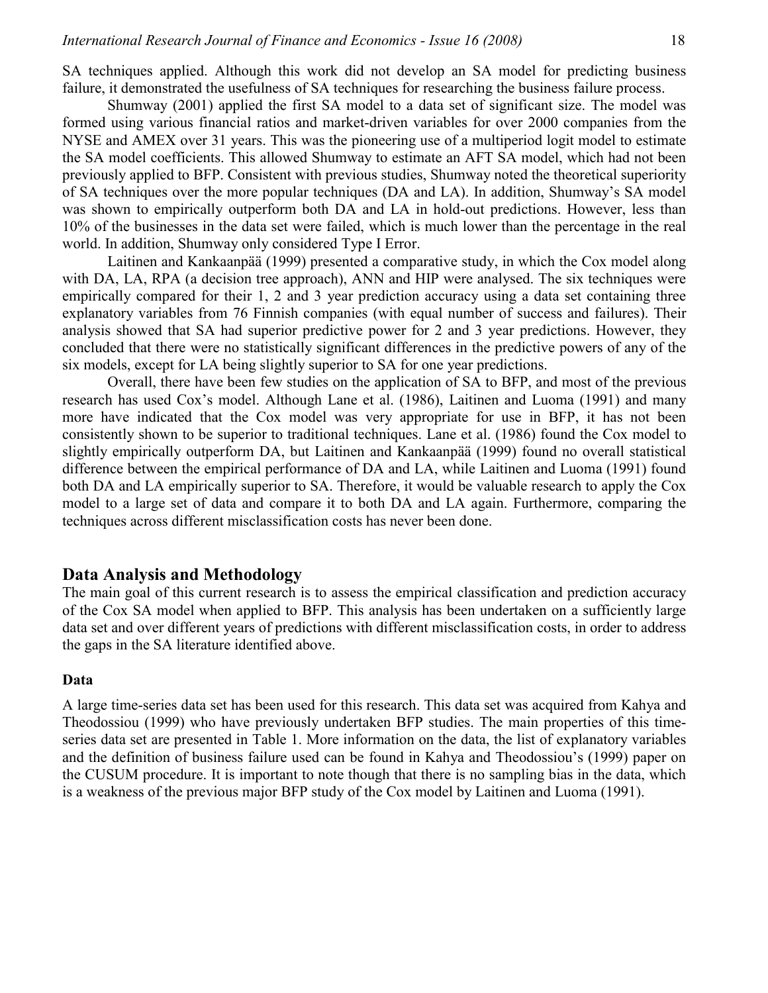SA techniques applied. Although this work did not develop an SA model for predicting business failure, it demonstrated the usefulness of SA techniques for researching the business failure process.

Shumway (2001) applied the first SA model to a data set of significant size. The model was formed using various financial ratios and market-driven variables for over 2000 companies from the NYSE and AMEX over 31 years. This was the pioneering use of a multiperiod logit model to estimate the SA model coefficients. This allowed Shumway to estimate an AFT SA model, which had not been previously applied to BFP. Consistent with previous studies, Shumway noted the theoretical superiority of SA techniques over the more popular techniques (DA and LA). In addition, Shumway's SA model was shown to empirically outperform both DA and LA in hold-out predictions. However, less than 10% of the businesses in the data set were failed, which is much lower than the percentage in the real world. In addition, Shumway only considered Type I Error.

Laitinen and Kankaanpää (1999) presented a comparative study, in which the Cox model along with DA, LA, RPA (a decision tree approach), ANN and HIP were analysed. The six techniques were empirically compared for their 1, 2 and 3 year prediction accuracy using a data set containing three explanatory variables from 76 Finnish companies (with equal number of success and failures). Their analysis showed that SA had superior predictive power for 2 and 3 year predictions. However, they concluded that there were no statistically significant differences in the predictive powers of any of the six models, except for LA being slightly superior to SA for one year predictions.

Overall, there have been few studies on the application of SA to BFP, and most of the previous research has used Cox's model. Although Lane et al. (1986), Laitinen and Luoma (1991) and many more have indicated that the Cox model was very appropriate for use in BFP, it has not been consistently shown to be superior to traditional techniques. Lane et al. (1986) found the Cox model to slightly empirically outperform DA, but Laitinen and Kankaanpää (1999) found no overall statistical difference between the empirical performance of DA and LA, while Laitinen and Luoma (1991) found both DA and LA empirically superior to SA. Therefore, it would be valuable research to apply the Cox model to a large set of data and compare it to both DA and LA again. Furthermore, comparing the techniques across different misclassification costs has never been done.

## **Data Analysis and Methodology**

The main goal of this current research is to assess the empirical classification and prediction accuracy of the Cox SA model when applied to BFP. This analysis has been undertaken on a sufficiently large data set and over different years of predictions with different misclassification costs, in order to address the gaps in the SA literature identified above.

#### **Data**

A large time-series data set has been used for this research. This data set was acquired from Kahya and Theodossiou (1999) who have previously undertaken BFP studies. The main properties of this timeseries data set are presented in Table 1. More information on the data, the list of explanatory variables and the definition of business failure used can be found in Kahya and Theodossiou's (1999) paper on the CUSUM procedure. It is important to note though that there is no sampling bias in the data, which is a weakness of the previous major BFP study of the Cox model by Laitinen and Luoma (1991).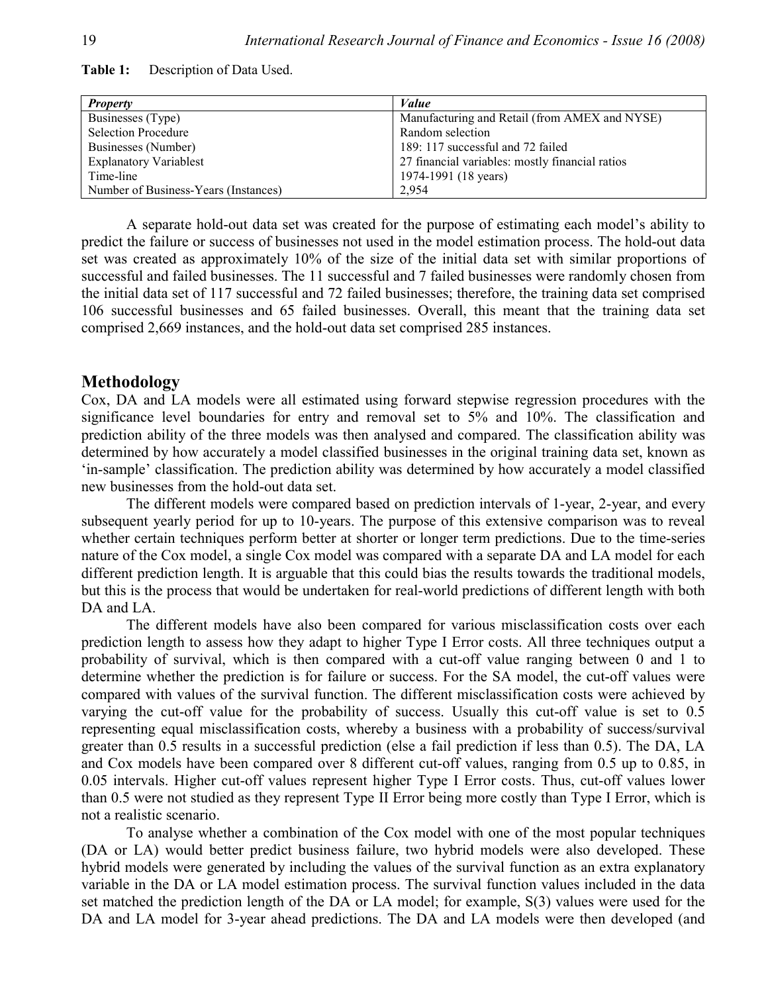| <b>Property</b>                      | Value                                           |
|--------------------------------------|-------------------------------------------------|
| Businesses (Type)                    | Manufacturing and Retail (from AMEX and NYSE)   |
| <b>Selection Procedure</b>           | Random selection                                |
| Businesses (Number)                  | 189: 117 successful and 72 failed               |
| <b>Explanatory Variablest</b>        | 27 financial variables: mostly financial ratios |
| Time-line                            | 1974-1991 (18 years)                            |
| Number of Business-Years (Instances) | 2.954                                           |

**Table 1:** Description of Data Used.

A separate hold-out data set was created for the purpose of estimating each model's ability to predict the failure or success of businesses not used in the model estimation process. The hold-out data set was created as approximately 10% of the size of the initial data set with similar proportions of successful and failed businesses. The 11 successful and 7 failed businesses were randomly chosen from the initial data set of 117 successful and 72 failed businesses; therefore, the training data set comprised 106 successful businesses and 65 failed businesses. Overall, this meant that the training data set comprised 2,669 instances, and the hold-out data set comprised 285 instances.

## **Methodology**

Cox, DA and LA models were all estimated using forward stepwise regression procedures with the significance level boundaries for entry and removal set to 5% and 10%. The classification and prediction ability of the three models was then analysed and compared. The classification ability was determined by how accurately a model classified businesses in the original training data set, known as 'in-sample' classification. The prediction ability was determined by how accurately a model classified new businesses from the hold-out data set.

The different models were compared based on prediction intervals of 1-year, 2-year, and every subsequent yearly period for up to 10-years. The purpose of this extensive comparison was to reveal whether certain techniques perform better at shorter or longer term predictions. Due to the time-series nature of the Cox model, a single Cox model was compared with a separate DA and LA model for each different prediction length. It is arguable that this could bias the results towards the traditional models, but this is the process that would be undertaken for real-world predictions of different length with both DA and LA.

The different models have also been compared for various misclassification costs over each prediction length to assess how they adapt to higher Type I Error costs. All three techniques output a probability of survival, which is then compared with a cut-off value ranging between 0 and 1 to determine whether the prediction is for failure or success. For the SA model, the cut-off values were compared with values of the survival function. The different misclassification costs were achieved by varying the cut-off value for the probability of success. Usually this cut-off value is set to 0.5 representing equal misclassification costs, whereby a business with a probability of success/survival greater than 0.5 results in a successful prediction (else a fail prediction if less than 0.5). The DA, LA and Cox models have been compared over 8 different cut-off values, ranging from 0.5 up to 0.85, in 0.05 intervals. Higher cut-off values represent higher Type I Error costs. Thus, cut-off values lower than 0.5 were not studied as they represent Type II Error being more costly than Type I Error, which is not a realistic scenario.

To analyse whether a combination of the Cox model with one of the most popular techniques (DA or LA) would better predict business failure, two hybrid models were also developed. These hybrid models were generated by including the values of the survival function as an extra explanatory variable in the DA or LA model estimation process. The survival function values included in the data set matched the prediction length of the DA or LA model; for example, S(3) values were used for the DA and LA model for 3-year ahead predictions. The DA and LA models were then developed (and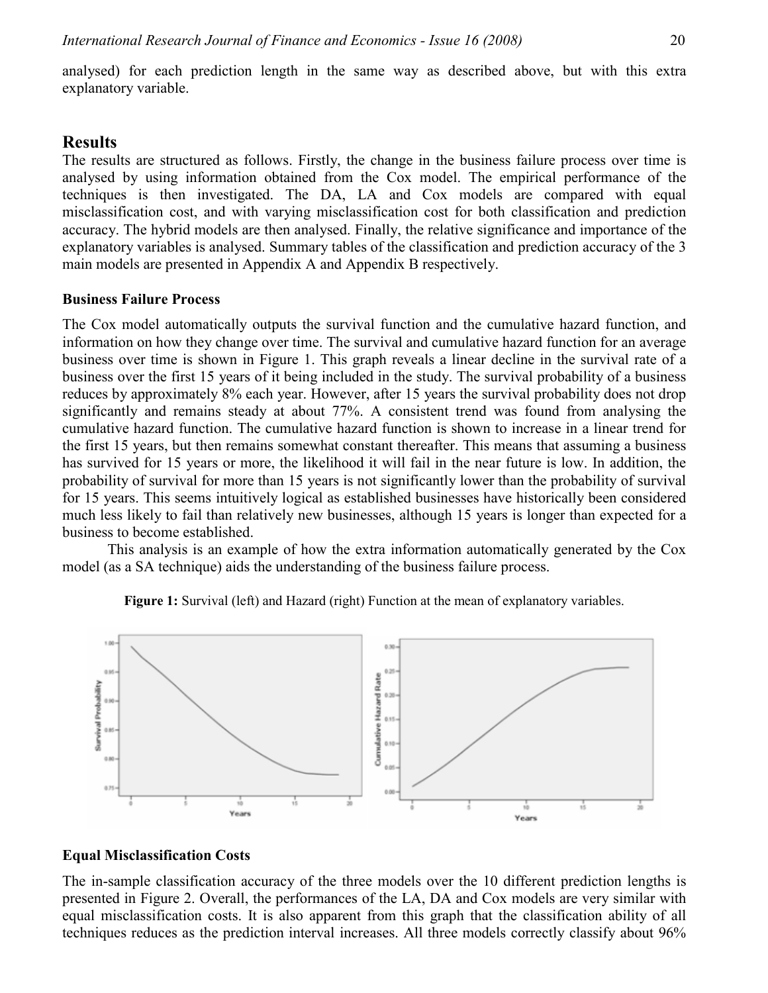analysed) for each prediction length in the same way as described above, but with this extra explanatory variable.

## **Results**

The results are structured as follows. Firstly, the change in the business failure process over time is analysed by using information obtained from the Cox model. The empirical performance of the techniques is then investigated. The DA, LA and Cox models are compared with equal misclassification cost, and with varying misclassification cost for both classification and prediction accuracy. The hybrid models are then analysed. Finally, the relative significance and importance of the explanatory variables is analysed. Summary tables of the classification and prediction accuracy of the 3 main models are presented in Appendix A and Appendix B respectively.

#### **Business Failure Process**

The Cox model automatically outputs the survival function and the cumulative hazard function, and information on how they change over time. The survival and cumulative hazard function for an average business over time is shown in Figure 1. This graph reveals a linear decline in the survival rate of a business over the first 15 years of it being included in the study. The survival probability of a business reduces by approximately 8% each year. However, after 15 years the survival probability does not drop significantly and remains steady at about 77%. A consistent trend was found from analysing the cumulative hazard function. The cumulative hazard function is shown to increase in a linear trend for the first 15 years, but then remains somewhat constant thereafter. This means that assuming a business has survived for 15 years or more, the likelihood it will fail in the near future is low. In addition, the probability of survival for more than 15 years is not significantly lower than the probability of survival for 15 years. This seems intuitively logical as established businesses have historically been considered much less likely to fail than relatively new businesses, although 15 years is longer than expected for a business to become established.

This analysis is an example of how the extra information automatically generated by the Cox model (as a SA technique) aids the understanding of the business failure process.



**Figure 1:** Survival (left) and Hazard (right) Function at the mean of explanatory variables.

#### **Equal Misclassification Costs**

The in-sample classification accuracy of the three models over the 10 different prediction lengths is presented in Figure 2. Overall, the performances of the LA, DA and Cox models are very similar with equal misclassification costs. It is also apparent from this graph that the classification ability of all techniques reduces as the prediction interval increases. All three models correctly classify about 96%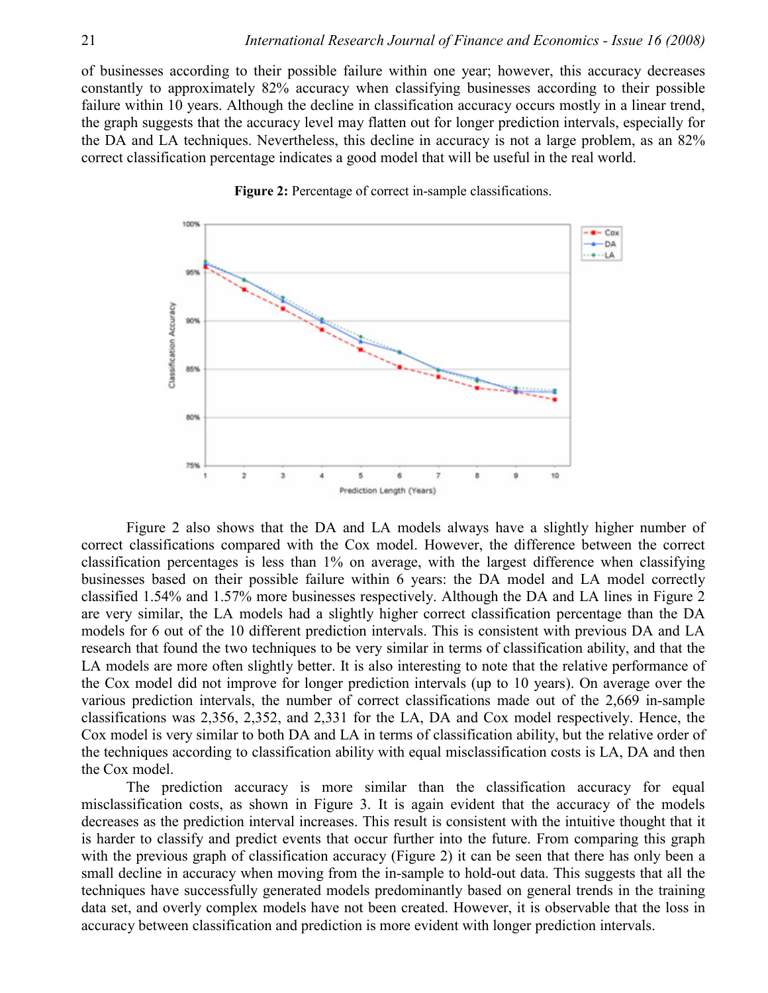of businesses according to their possible failure within one year; however, this accuracy decreases constantly to approximately 82% accuracy when classifying businesses according to their possible failure within 10 years. Although the decline in classification accuracy occurs mostly in a linear trend, the graph suggests that the accuracy level may flatten out for longer prediction intervals, especially for the DA and LA techniques. Nevertheless, this decline in accuracy is not a large problem, as an 82% correct classification percentage indicates a good model that will be useful in the real world.



**Figure 2:** Percentage of correct in-sample classifications.

Figure 2 also shows that the DA and LA models always have a slightly higher number of correct classifications compared with the Cox model. However, the difference between the correct classification percentages is less than 1% on average, with the largest difference when classifying businesses based on their possible failure within 6 years: the DA model and LA model correctly classified 1.54% and 1.57% more businesses respectively. Although the DA and LA lines in Figure 2 are very similar, the LA models had a slightly higher correct classification percentage than the DA models for 6 out of the 10 different prediction intervals. This is consistent with previous DA and LA research that found the two techniques to be very similar in terms of classification ability, and that the LA models are more often slightly better. It is also interesting to note that the relative performance of the Cox model did not improve for longer prediction intervals (up to 10 years). On average over the various prediction intervals, the number of correct classifications made out of the 2,669 in-sample classifications was 2,356, 2,352, and 2,331 for the LA, DA and Cox model respectively. Hence, the Cox model is very similar to both DA and LA in terms of classification ability, but the relative order of the techniques according to classification ability with equal misclassification costs is LA, DA and then the Cox model.

The prediction accuracy is more similar than the classification accuracy for equal misclassification costs, as shown in Figure 3. It is again evident that the accuracy of the models decreases as the prediction interval increases. This result is consistent with the intuitive thought that it is harder to classify and predict events that occur further into the future. From comparing this graph with the previous graph of classification accuracy (Figure 2) it can be seen that there has only been a small decline in accuracy when moving from the in-sample to hold-out data. This suggests that all the techniques have successfully generated models predominantly based on general trends in the training data set, and overly complex models have not been created. However, it is observable that the loss in accuracy between classification and prediction is more evident with longer prediction intervals.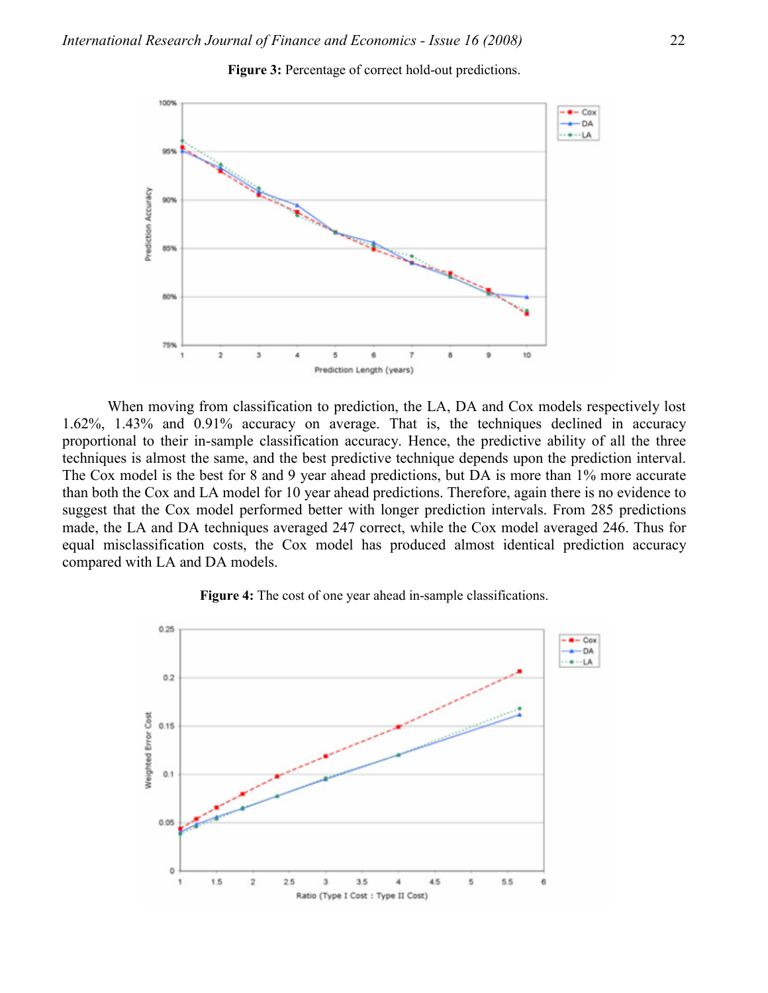

**Figure 3:** Percentage of correct hold-out predictions.

When moving from classification to prediction, the LA, DA and Cox models respectively lost 1.62%, 1.43% and 0.91% accuracy on average. That is, the techniques declined in accuracy proportional to their in-sample classification accuracy. Hence, the predictive ability of all the three techniques is almost the same, and the best predictive technique depends upon the prediction interval. The Cox model is the best for 8 and 9 year ahead predictions, but DA is more than 1% more accurate than both the Cox and LA model for 10 year ahead predictions. Therefore, again there is no evidence to suggest that the Cox model performed better with longer prediction intervals. From 285 predictions made, the LA and DA techniques averaged 247 correct, while the Cox model averaged 246. Thus for equal misclassification costs, the Cox model has produced almost identical prediction accuracy compared with LA and DA models.



**Figure 4:** The cost of one year ahead in-sample classifications.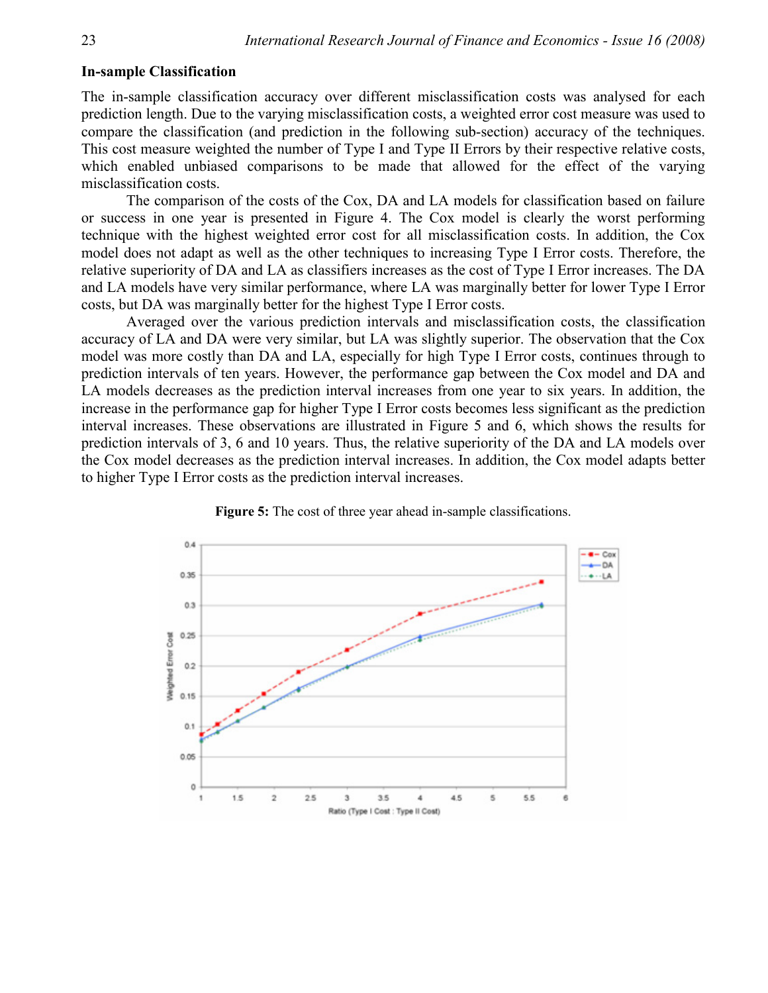#### **In-sample Classification**

The in-sample classification accuracy over different misclassification costs was analysed for each prediction length. Due to the varying misclassification costs, a weighted error cost measure was used to compare the classification (and prediction in the following sub-section) accuracy of the techniques. This cost measure weighted the number of Type I and Type II Errors by their respective relative costs, which enabled unbiased comparisons to be made that allowed for the effect of the varying misclassification costs.

The comparison of the costs of the Cox, DA and LA models for classification based on failure or success in one year is presented in Figure 4. The Cox model is clearly the worst performing technique with the highest weighted error cost for all misclassification costs. In addition, the Cox model does not adapt as well as the other techniques to increasing Type I Error costs. Therefore, the relative superiority of DA and LA as classifiers increases as the cost of Type I Error increases. The DA and LA models have very similar performance, where LA was marginally better for lower Type I Error costs, but DA was marginally better for the highest Type I Error costs.

Averaged over the various prediction intervals and misclassification costs, the classification accuracy of LA and DA were very similar, but LA was slightly superior. The observation that the Cox model was more costly than DA and LA, especially for high Type I Error costs, continues through to prediction intervals of ten years. However, the performance gap between the Cox model and DA and LA models decreases as the prediction interval increases from one year to six years. In addition, the increase in the performance gap for higher Type I Error costs becomes less significant as the prediction interval increases. These observations are illustrated in Figure 5 and 6, which shows the results for prediction intervals of 3, 6 and 10 years. Thus, the relative superiority of the DA and LA models over the Cox model decreases as the prediction interval increases. In addition, the Cox model adapts better to higher Type I Error costs as the prediction interval increases.



**Figure 5:** The cost of three year ahead in-sample classifications.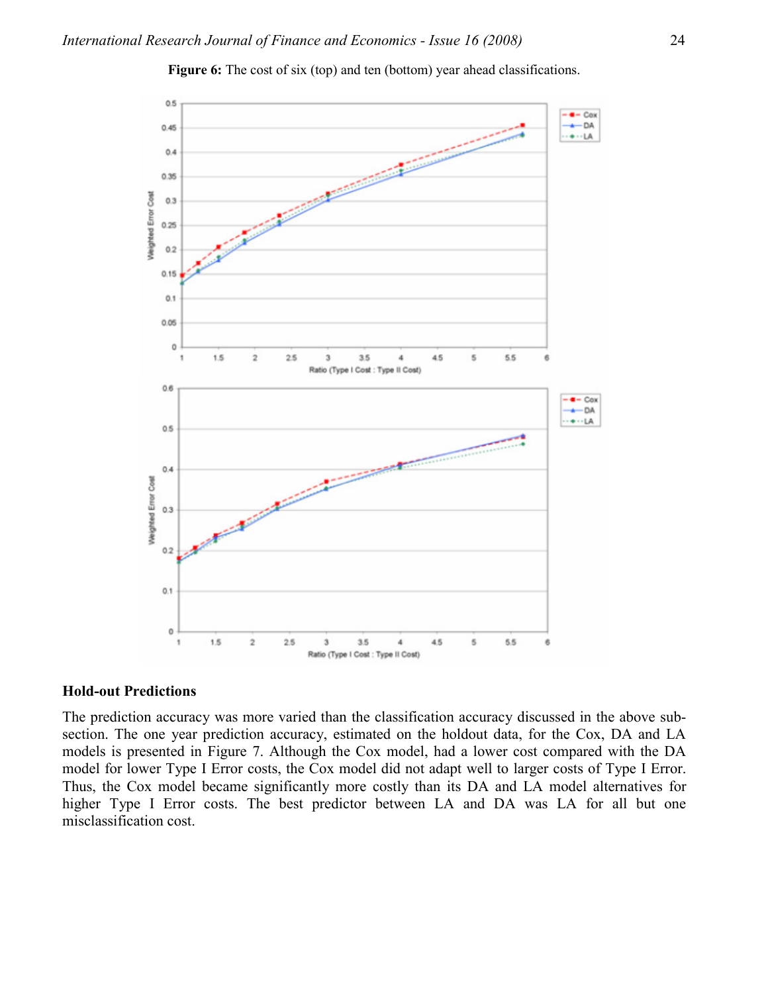

**Figure 6:** The cost of six (top) and ten (bottom) year ahead classifications.

#### **Hold-out Predictions**

The prediction accuracy was more varied than the classification accuracy discussed in the above subsection. The one year prediction accuracy, estimated on the holdout data, for the Cox, DA and LA models is presented in Figure 7. Although the Cox model, had a lower cost compared with the DA model for lower Type I Error costs, the Cox model did not adapt well to larger costs of Type I Error. Thus, the Cox model became significantly more costly than its DA and LA model alternatives for higher Type I Error costs. The best predictor between LA and DA was LA for all but one misclassification cost.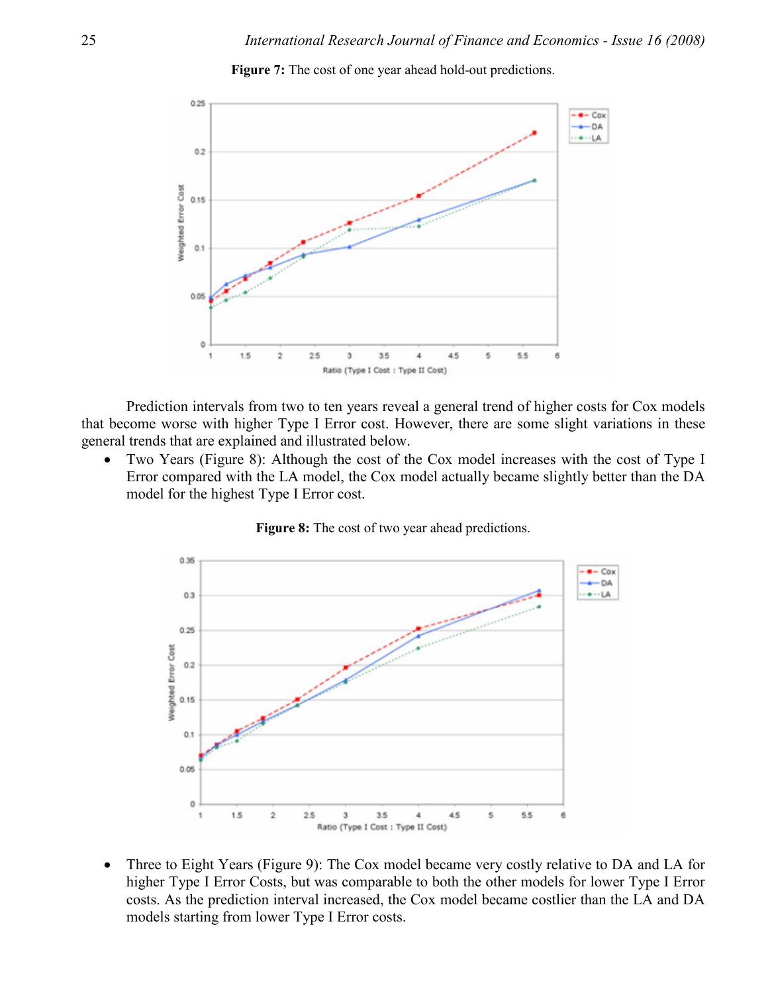

**Figure 7:** The cost of one year ahead hold-out predictions.

Prediction intervals from two to ten years reveal a general trend of higher costs for Cox models that become worse with higher Type I Error cost. However, there are some slight variations in these general trends that are explained and illustrated below.

• Two Years (Figure 8): Although the cost of the Cox model increases with the cost of Type I Error compared with the LA model, the Cox model actually became slightly better than the DA model for the highest Type I Error cost.



**Figure 8:** The cost of two year ahead predictions.

• Three to Eight Years (Figure 9): The Cox model became very costly relative to DA and LA for higher Type I Error Costs, but was comparable to both the other models for lower Type I Error costs. As the prediction interval increased, the Cox model became costlier than the LA and DA models starting from lower Type I Error costs.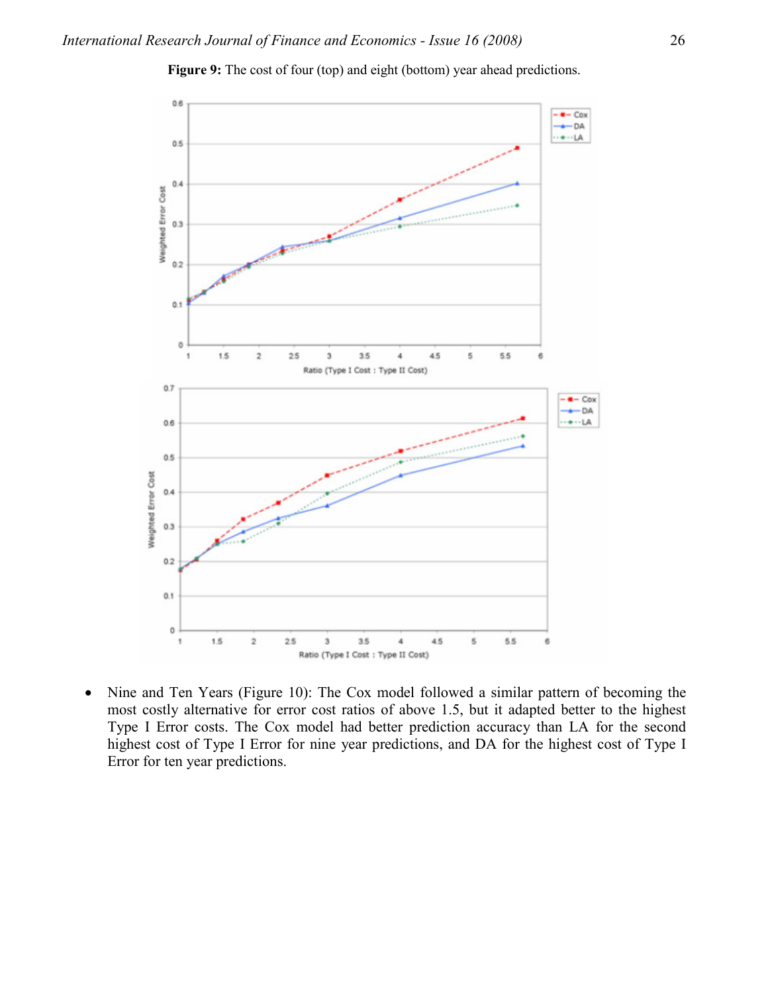

**Figure 9:** The cost of four (top) and eight (bottom) year ahead predictions.

• Nine and Ten Years (Figure 10): The Cox model followed a similar pattern of becoming the most costly alternative for error cost ratios of above 1.5, but it adapted better to the highest Type I Error costs. The Cox model had better prediction accuracy than LA for the second highest cost of Type I Error for nine year predictions, and DA for the highest cost of Type I Error for ten year predictions.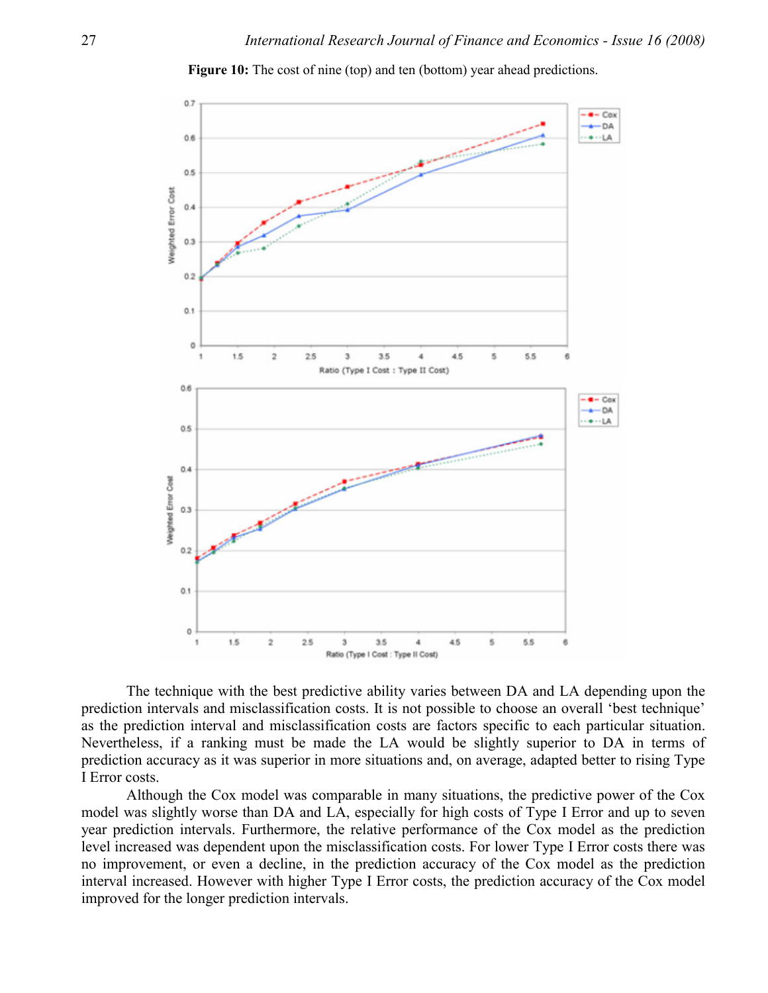

**Figure 10:** The cost of nine (top) and ten (bottom) year ahead predictions.

The technique with the best predictive ability varies between DA and LA depending upon the prediction intervals and misclassification costs. It is not possible to choose an overall 'best technique' as the prediction interval and misclassification costs are factors specific to each particular situation. Nevertheless, if a ranking must be made the LA would be slightly superior to DA in terms of prediction accuracy as it was superior in more situations and, on average, adapted better to rising Type I Error costs.

Although the Cox model was comparable in many situations, the predictive power of the Cox model was slightly worse than DA and LA, especially for high costs of Type I Error and up to seven year prediction intervals. Furthermore, the relative performance of the Cox model as the prediction level increased was dependent upon the misclassification costs. For lower Type I Error costs there was no improvement, or even a decline, in the prediction accuracy of the Cox model as the prediction interval increased. However with higher Type I Error costs, the prediction accuracy of the Cox model improved for the longer prediction intervals.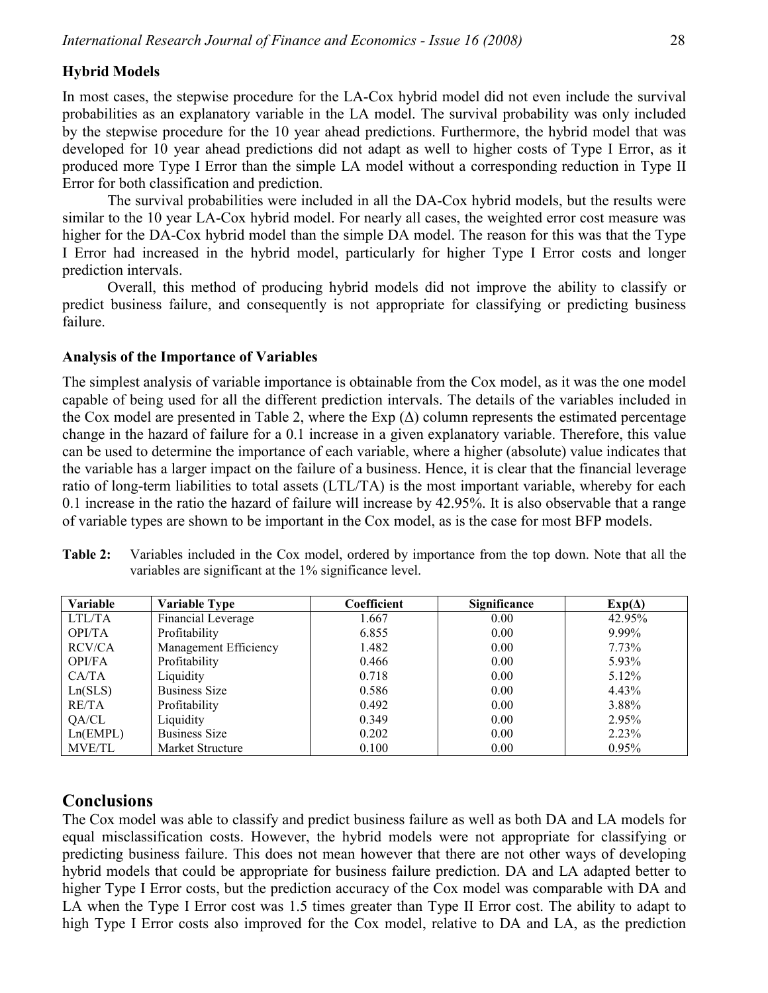#### **Hybrid Models**

In most cases, the stepwise procedure for the LA-Cox hybrid model did not even include the survival probabilities as an explanatory variable in the LA model. The survival probability was only included by the stepwise procedure for the 10 year ahead predictions. Furthermore, the hybrid model that was developed for 10 year ahead predictions did not adapt as well to higher costs of Type I Error, as it produced more Type I Error than the simple LA model without a corresponding reduction in Type II Error for both classification and prediction.

The survival probabilities were included in all the DA-Cox hybrid models, but the results were similar to the 10 year LA-Cox hybrid model. For nearly all cases, the weighted error cost measure was higher for the DA-Cox hybrid model than the simple DA model. The reason for this was that the Type I Error had increased in the hybrid model, particularly for higher Type I Error costs and longer prediction intervals.

Overall, this method of producing hybrid models did not improve the ability to classify or predict business failure, and consequently is not appropriate for classifying or predicting business failure.

#### **Analysis of the Importance of Variables**

The simplest analysis of variable importance is obtainable from the Cox model, as it was the one model capable of being used for all the different prediction intervals. The details of the variables included in the Cox model are presented in Table 2, where the Exp  $(\Delta)$  column represents the estimated percentage change in the hazard of failure for a 0.1 increase in a given explanatory variable. Therefore, this value can be used to determine the importance of each variable, where a higher (absolute) value indicates that the variable has a larger impact on the failure of a business. Hence, it is clear that the financial leverage ratio of long-term liabilities to total assets (LTL/TA) is the most important variable, whereby for each 0.1 increase in the ratio the hazard of failure will increase by 42.95%. It is also observable that a range of variable types are shown to be important in the Cox model, as is the case for most BFP models.

| Variable      | <b>Variable Type</b>  | Coefficient | Significance | $Exp(\Delta)$ |
|---------------|-----------------------|-------------|--------------|---------------|
| LTL/TA        | Financial Leverage    | 1.667       | 0.00         | 42.95%        |
| <b>OPI/TA</b> | Profitability         | 6.855       | 0.00         | 9.99%         |
| RCV/CA        | Management Efficiency | 1.482       | 0.00         | 7.73%         |
| OPI/FA        | Profitability         | 0.466       | 0.00         | 5.93%         |
| CA/TA         | Liquidity             | 0.718       | 0.00         | 5.12%         |
| Ln(SLS)       | <b>Business Size</b>  | 0.586       | 0.00         | 4.43%         |
| RE/TA         | Profitability         | 0.492       | 0.00         | 3.88%         |
| QA/CL         | Liquidity             | 0.349       | 0.00         | 2.95%         |
| Ln(EMPL)      | <b>Business Size</b>  | 0.202       | 0.00         | 2.23%         |
| MVE/TL        | Market Structure      | 0.100       | 0.00         | $0.95\%$      |

**Table 2:** Variables included in the Cox model, ordered by importance from the top down. Note that all the variables are significant at the 1% significance level.

## **Conclusions**

The Cox model was able to classify and predict business failure as well as both DA and LA models for equal misclassification costs. However, the hybrid models were not appropriate for classifying or predicting business failure. This does not mean however that there are not other ways of developing hybrid models that could be appropriate for business failure prediction. DA and LA adapted better to higher Type I Error costs, but the prediction accuracy of the Cox model was comparable with DA and LA when the Type I Error cost was 1.5 times greater than Type II Error cost. The ability to adapt to high Type I Error costs also improved for the Cox model, relative to DA and LA, as the prediction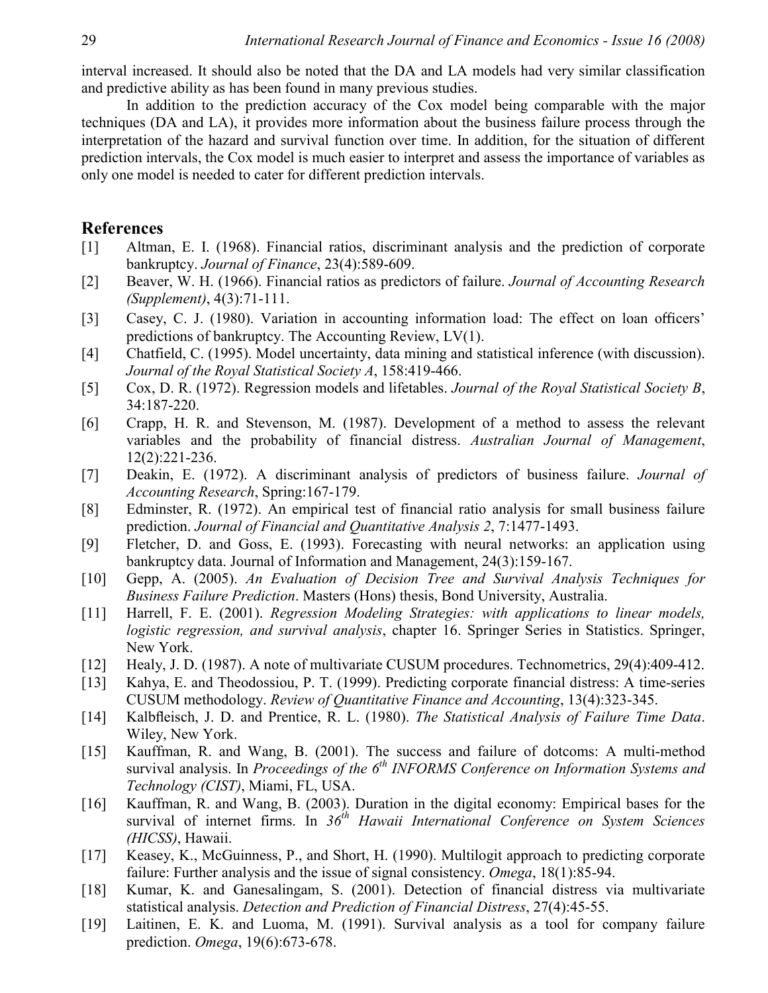interval increased. It should also be noted that the DA and LA models had very similar classification and predictive ability as has been found in many previous studies.

In addition to the prediction accuracy of the Cox model being comparable with the major techniques (DA and LA), it provides more information about the business failure process through the interpretation of the hazard and survival function over time. In addition, for the situation of different prediction intervals, the Cox model is much easier to interpret and assess the importance of variables as only one model is needed to cater for different prediction intervals.

#### **References**

- [1] Altman, E. I. (1968). Financial ratios, discriminant analysis and the prediction of corporate bankruptcy. *Journal of Finance*, 23(4):589-609.
- [2] Beaver, W. H. (1966). Financial ratios as predictors of failure. *Journal of Accounting Research (Supplement)*, 4(3):71-111.
- [3] Casey, C. J. (1980). Variation in accounting information load: The effect on loan officers' predictions of bankruptcy. The Accounting Review, LV(1).
- [4] Chatfield, C. (1995). Model uncertainty, data mining and statistical inference (with discussion). *Journal of the Royal Statistical Society A*, 158:419-466.
- [5] Cox, D. R. (1972). Regression models and lifetables. *Journal of the Royal Statistical Society B*, 34:187-220.
- [6] Crapp, H. R. and Stevenson, M. (1987). Development of a method to assess the relevant variables and the probability of financial distress. *Australian Journal of Management*, 12(2):221-236.
- [7] Deakin, E. (1972). A discriminant analysis of predictors of business failure. *Journal of Accounting Research*, Spring:167-179.
- [8] Edminster, R. (1972). An empirical test of financial ratio analysis for small business failure prediction. *Journal of Financial and Quantitative Analysis 2*, 7:1477-1493.
- [9] Fletcher, D. and Goss, E. (1993). Forecasting with neural networks: an application using bankruptcy data. Journal of Information and Management, 24(3):159-167.
- [10] Gepp, A. (2005). *An Evaluation of Decision Tree and Survival Analysis Techniques for Business Failure Prediction*. Masters (Hons) thesis, Bond University, Australia.
- [11] Harrell, F. E. (2001). *Regression Modeling Strategies: with applications to linear models, logistic regression, and survival analysis*, chapter 16. Springer Series in Statistics. Springer, New York.
- [12] Healy, J. D. (1987). A note of multivariate CUSUM procedures. Technometrics, 29(4):409-412.
- [13] Kahya, E. and Theodossiou, P. T. (1999). Predicting corporate financial distress: A time-series CUSUM methodology. *Review of Quantitative Finance and Accounting*, 13(4):323-345.
- [14] Kalbfleisch, J. D. and Prentice, R. L. (1980). *The Statistical Analysis of Failure Time Data*. Wiley, New York.
- [15] Kauffman, R. and Wang, B. (2001). The success and failure of dotcoms: A multi-method survival analysis. In *Proceedings of the 6<sup>th</sup> INFORMS Conference on Information Systems and Technology (CIST)*, Miami, FL, USA.
- [16] Kauffman, R. and Wang, B. (2003). Duration in the digital economy: Empirical bases for the survival of internet firms. In *36th Hawaii International Conference on System Sciences (HICSS)*, Hawaii.
- [17] Keasey, K., McGuinness, P., and Short, H. (1990). Multilogit approach to predicting corporate failure: Further analysis and the issue of signal consistency. *Omega*, 18(1):85-94.
- [18] Kumar, K. and Ganesalingam, S. (2001). Detection of financial distress via multivariate statistical analysis. *Detection and Prediction of Financial Distress*, 27(4):45-55.
- [19] Laitinen, E. K. and Luoma, M. (1991). Survival analysis as a tool for company failure prediction. *Omega*, 19(6):673-678.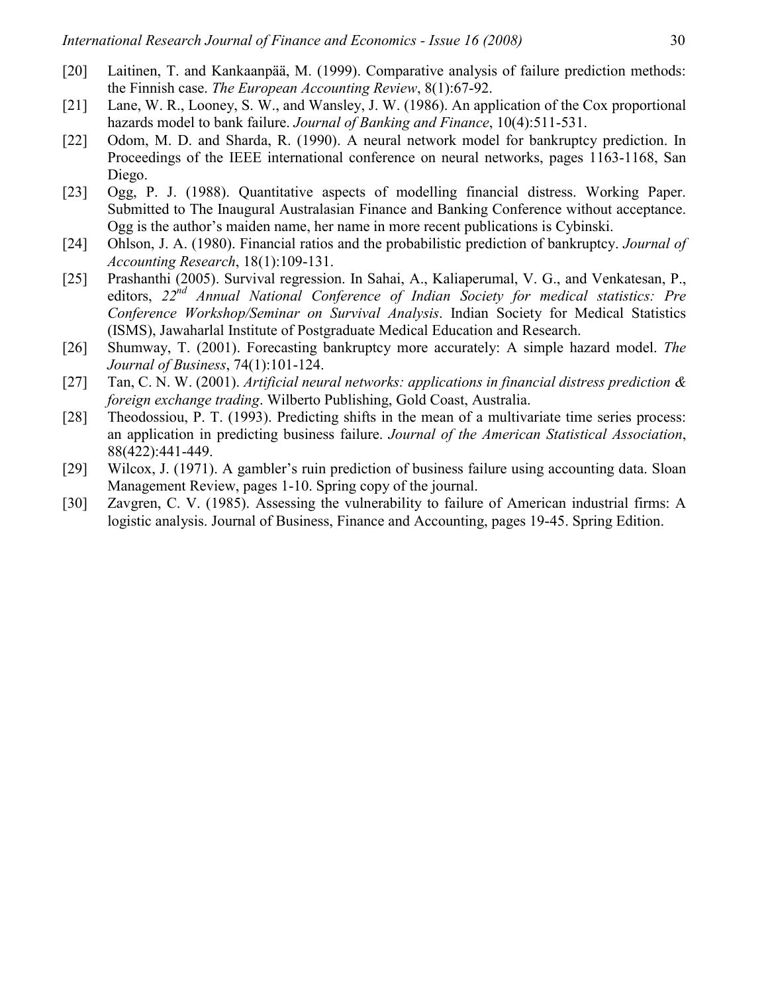- [20] Laitinen, T. and Kankaanpää, M. (1999). Comparative analysis of failure prediction methods: the Finnish case. *The European Accounting Review*, 8(1):67-92.
- [21] Lane, W. R., Looney, S. W., and Wansley, J. W. (1986). An application of the Cox proportional hazards model to bank failure. *Journal of Banking and Finance*, 10(4):511-531.
- [22] Odom, M. D. and Sharda, R. (1990). A neural network model for bankruptcy prediction. In Proceedings of the IEEE international conference on neural networks, pages 1163-1168, San Diego.
- [23] Ogg, P. J. (1988). Quantitative aspects of modelling financial distress. Working Paper. Submitted to The Inaugural Australasian Finance and Banking Conference without acceptance. Ogg is the author's maiden name, her name in more recent publications is Cybinski.
- [24] Ohlson, J. A. (1980). Financial ratios and the probabilistic prediction of bankruptcy. *Journal of Accounting Research*, 18(1):109-131.
- [25] Prashanthi (2005). Survival regression. In Sahai, A., Kaliaperumal, V. G., and Venkatesan, P., editors, *22nd Annual National Conference of Indian Society for medical statistics: Pre Conference Workshop/Seminar on Survival Analysis*. Indian Society for Medical Statistics (ISMS), Jawaharlal Institute of Postgraduate Medical Education and Research.
- [26] Shumway, T. (2001). Forecasting bankruptcy more accurately: A simple hazard model. *The Journal of Business*, 74(1):101-124.
- [27] Tan, C. N. W. (2001). *Artificial neural networks: applications in financial distress prediction & foreign exchange trading*. Wilberto Publishing, Gold Coast, Australia.
- [28] Theodossiou, P. T. (1993). Predicting shifts in the mean of a multivariate time series process: an application in predicting business failure. *Journal of the American Statistical Association*, 88(422):441-449.
- [29] Wilcox, J. (1971). A gambler's ruin prediction of business failure using accounting data. Sloan Management Review, pages 1-10. Spring copy of the journal.
- [30] Zavgren, C. V. (1985). Assessing the vulnerability to failure of American industrial firms: A logistic analysis. Journal of Business, Finance and Accounting, pages 19-45. Spring Edition.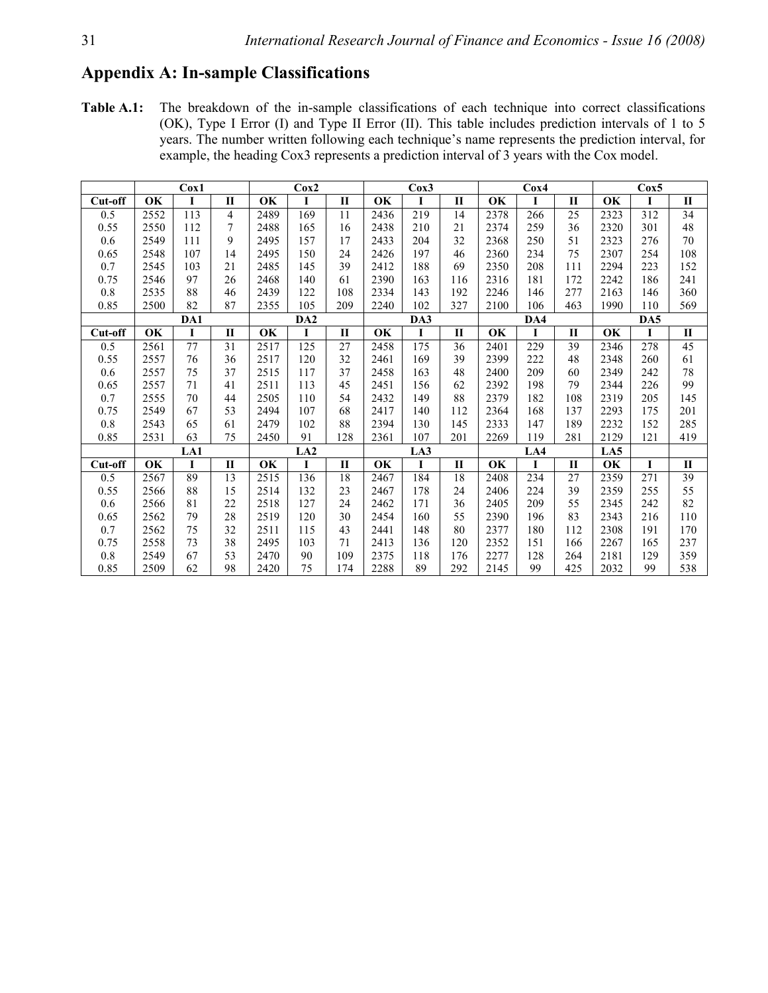## **Appendix A: In-sample Classifications**

**Table A.1:** The breakdown of the in-sample classifications of each technique into correct classifications (OK), Type I Error (I) and Type II Error (II). This table includes prediction intervals of 1 to 5 years. The number written following each technique's name represents the prediction interval, for example, the heading Cox3 represents a prediction interval of 3 years with the Cox model.

|         | Cox1 |          |              | Cox2      |                 |              |           | Cox3 |              |      | $C_0x4$ |              | Cox5 |     |                 |
|---------|------|----------|--------------|-----------|-----------------|--------------|-----------|------|--------------|------|---------|--------------|------|-----|-----------------|
| Cut-off | OK   | $\bf{I}$ | $\mathbf{I}$ | <b>OK</b> | I               | $\mathbf{I}$ | OK        | I    | $\mathbf{I}$ | OK   | 1       | $\mathbf{I}$ | OK   |     | $\mathbf{I}$    |
| 0.5     | 2552 | 113      | 4            | 2489      | 169             | 11           | 2436      | 219  | 14           | 2378 | 266     | 25           | 2323 | 312 | 34              |
| 0.55    | 2550 | 112      | 7            | 2488      | 165             | 16           | 2438      | 210  | 21           | 2374 | 259     | 36           | 2320 | 301 | 48              |
| 0.6     | 2549 | 111      | 9            | 2495      | 157             | 17           | 2433      | 204  | 32           | 2368 | 250     | 51           | 2323 | 276 | 70              |
| 0.65    | 2548 | 107      | 14           | 2495      | 150             | 24           | 2426      | 197  | 46           | 2360 | 234     | 75           | 2307 | 254 | 108             |
| 0.7     | 2545 | 103      | 21           | 2485      | 145             | 39           | 2412      | 188  | 69           | 2350 | 208     | 111          | 2294 | 223 | 152             |
| 0.75    | 2546 | 97       | 26           | 2468      | 140             | 61           | 2390      | 163  | 116          | 2316 | 181     | 172          | 2242 | 186 | 241             |
| $0.8\,$ | 2535 | 88       | 46           | 2439      | 122             | 108          | 2334      | 143  | 192          | 2246 | 146     | 277          | 2163 | 146 | 360             |
| 0.85    | 2500 | 82       | 87           | 2355      | 105             | 209          | 2240      | 102  | 327          | 2100 | 106     | 463          | 1990 | 110 | 569             |
|         |      | DA1      |              |           | DA <sub>2</sub> |              |           | DA3  |              |      | DA4     |              |      |     |                 |
| Cut-off | OK   | I        | П            | OK        | 1               | $\mathbf{I}$ | <b>OK</b> | I    | $\mathbf{I}$ | OK   | I       | П            | OK   | I   | $\mathbf{I}$    |
| 0.5     | 2561 | 77       | 31           | 2517      | 125             | 27           | 2458      | 175  | 36           | 2401 | 229     | 39           | 2346 | 278 | 45              |
| 0.55    | 2557 | 76       | 36           | 2517      | 120             | 32           | 2461      | 169  | 39           | 2399 | 222     | 48           | 2348 | 260 | 61              |
| $0.6\,$ | 2557 | 75       | 37           | 2515      | 117             | 37           | 2458      | 163  | 48           | 2400 | 209     | 60           | 2349 | 242 | 78              |
| 0.65    | 2557 | 71       | 41           | 2511      | 113             | 45           | 2451      | 156  | 62           | 2392 | 198     | 79           | 2344 | 226 | 99              |
| 0.7     | 2555 | 70       | 44           | 2505      | 110             | 54           | 2432      | 149  | 88           | 2379 | 182     | 108          | 2319 | 205 | 145             |
| 0.75    | 2549 | 67       | 53           | 2494      | 107             | 68           | 2417      | 140  | 112          | 2364 | 168     | 137          | 2293 | 175 | 201             |
| $0.8\,$ | 2543 | 65       | 61           | 2479      | 102             | 88           | 2394      | 130  | 145          | 2333 | 147     | 189          | 2232 | 152 | 285             |
| 0.85    | 2531 | 63       | 75           | 2450      | 91              | 128          | 2361      | 107  | 201          | 2269 | 119     | 281          | 2129 | 121 | 419             |
|         |      | LA1      |              |           | LA2             |              | LA3       |      |              | LA4  |         |              | LA5  |     |                 |
| Cut-off | OK   | I        | $\mathbf{I}$ | OK        | I               | $\mathbf{I}$ | OK        | I    | $\mathbf{I}$ | OK   | I       | $\mathbf{I}$ | OK   |     | $\mathbf{I}$    |
| 0.5     | 2567 | 89       | 13           | 2515      | 136             | 18           | 2467      | 184  | 18           | 2408 | 234     | 27           | 2359 | 271 | $\overline{39}$ |
| 0.55    | 2566 | 88       | 15           | 2514      | 132             | 23           | 2467      | 178  | 24           | 2406 | 224     | 39           | 2359 | 255 | 55              |
| 0.6     | 2566 | 81       | 22           | 2518      | 127             | 24           | 2462      | 171  | 36           | 2405 | 209     | 55           | 2345 | 242 | 82              |
| 0.65    | 2562 | 79       | 28           | 2519      | 120             | 30           | 2454      | 160  | 55           | 2390 | 196     | 83           | 2343 | 216 | 110             |
| 0.7     | 2562 | 75       | 32           | 2511      | 115             | 43           | 2441      | 148  | 80           | 2377 | 180     | 112          | 2308 | 191 | 170             |
| 0.75    | 2558 | 73       | 38           | 2495      | 103             | 71           | 2413      | 136  | 120          | 2352 | 151     | 166          | 2267 | 165 | 237             |
| $0.8\,$ | 2549 | 67       | 53           | 2470      | 90              | 109          | 2375      | 118  | 176          | 2277 | 128     | 264          | 2181 | 129 | 359             |
| 0.85    | 2509 | 62       | 98           | 2420      | 75              | 174          | 2288      | 89   | 292          | 2145 | 99      | 425          | 2032 | 99  | 538             |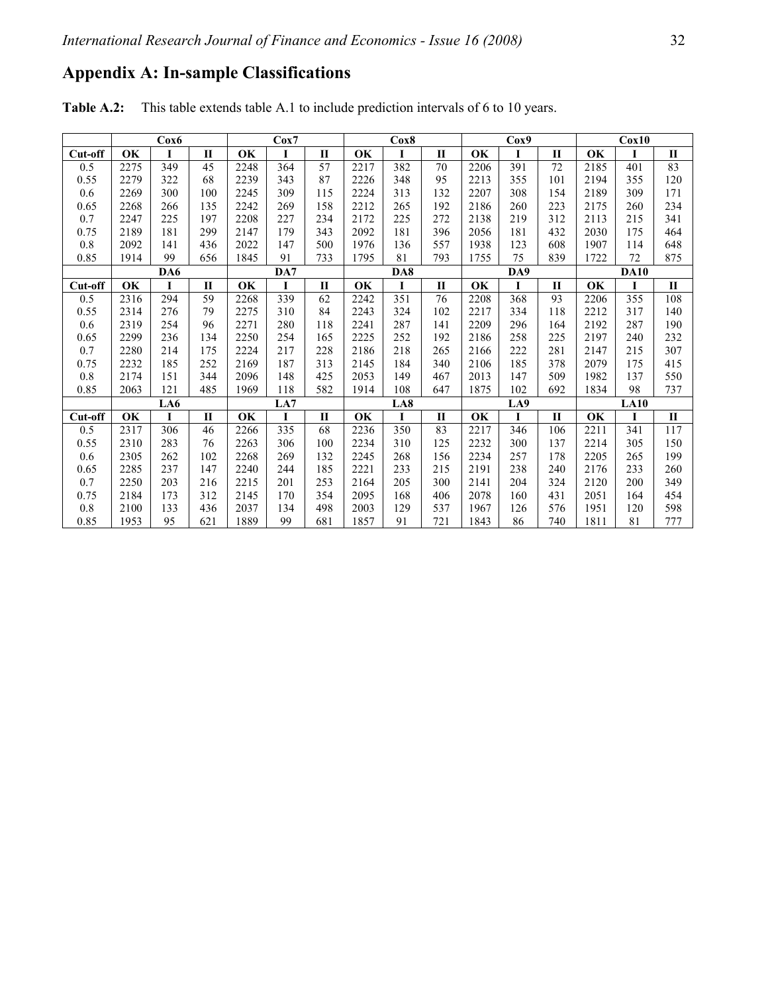# **Appendix A: In-sample Classifications**

**Table A.2:** This table extends table A.1 to include prediction intervals of 6 to 10 years.

|           |           | $\cos 6$ |              |      | $C_{0X}Z$ |              |      | $C_0x8$ |              |           | Cox9     |              |             | Cox10 |              |  |
|-----------|-----------|----------|--------------|------|-----------|--------------|------|---------|--------------|-----------|----------|--------------|-------------|-------|--------------|--|
| Cut-off   | OK        | I        | $\mathbf{I}$ | OK   | I         | $\mathbf{I}$ | OK   | I       | П            | OK        | I        | П            | <b>OK</b>   | I     | П            |  |
| 0.5       | 2275      | 349      | 45           | 2248 | 364       | 57           | 2217 | 382     | 70           | 2206      | 391      | 72           | 2185        | 401   | 83           |  |
| 0.55      | 2279      | 322      | 68           | 2239 | 343       | 87           | 2226 | 348     | 95           | 2213      | 355      | 101          | 2194        | 355   | 120          |  |
| 0.6       | 2269      | 300      | 100          | 2245 | 309       | 115          | 2224 | 313     | 132          | 2207      | 308      | 154          | 2189        | 309   | 171          |  |
| 0.65      | 2268      | 266      | 135          | 2242 | 269       | 158          | 2212 | 265     | 192          | 2186      | 260      | 223          | 2175        | 260   | 234          |  |
| 0.7       | 2247      | 225      | 197          | 2208 | 227       | 234          | 2172 | 225     | 272          | 2138      | 219      | 312          | 2113        | 215   | 341          |  |
| 0.75      | 2189      | 181      | 299          | 2147 | 179       | 343          | 2092 | 181     | 396          | 2056      | 181      | 432          | 2030        | 175   | 464          |  |
| 0.8       | 2092      | 141      | 436          | 2022 | 147       | 500          | 1976 | 136     | 557          | 1938      | 123      | 608          | 1907        | 114   | 648          |  |
| 0.85      | 1914      | 99       | 656          | 1845 | 91        | 733          | 1795 | 81      | 793          | 1755      | 75       | 839          | 1722        | 72    | 875          |  |
|           |           | DA6      |              |      | DA7       |              |      | DA8     |              |           | DA9      |              | <b>DA10</b> |       |              |  |
| $Cut-off$ | <b>OK</b> | I        | $\mathbf{I}$ | OK   |           | $\mathbf{I}$ | OK   |         | $\mathbf{I}$ | <b>OK</b> | 1        | $\mathbf{I}$ | OK          | I     | $\mathbf{I}$ |  |
| 0.5       | 2316      | 294      | 59           | 2268 | 339       | 62           | 2242 | 351     | 76           | 2208      | 368      | 93           | 2206        | 355   | 108          |  |
| 0.55      | 2314      | 276      | 79           | 2275 | 310       | 84           | 2243 | 324     | 102          | 2217      | 334      | 118          | 2212        | 317   | 140          |  |
| 0.6       | 2319      | 254      | 96           | 2271 | 280       | 118          | 2241 | 287     | 141          | 2209      | 296      | 164          | 2192        | 287   | 190          |  |
| 0.65      | 2299      | 236      | 134          | 2250 | 254       | 165          | 2225 | 252     | 192          | 2186      | 258      | 225          | 2197        | 240   | 232          |  |
| 0.7       | 2280      | 214      | 175          | 2224 | 217       | 228          | 2186 | 218     | 265          | 2166      | 222      | 281          | 2147        | 215   | 307          |  |
| 0.75      | 2232      | 185      | 252          | 2169 | 187       | 313          | 2145 | 184     | 340          | 2106      | 185      | 378          | 2079        | 175   | 415          |  |
| $0.8\,$   | 2174      | 151      | 344          | 2096 | 148       | 425          | 2053 | 149     | 467          | 2013      | 147      | 509          | 1982        | 137   | 550          |  |
| 0.85      | 2063      | 121      | 485          | 1969 | 118       | 582          | 1914 | 108     | 647          | 1875      | 102      | 692          | 1834        | 98    | 737          |  |
|           |           | LA6      |              |      | LA7       |              | LA8  |         |              | LA9       |          |              | <b>LA10</b> |       |              |  |
| $Cut-off$ | <b>OK</b> | I        | $\mathbf{I}$ | OK   | I         | $\mathbf{I}$ | OK   | I       | $\mathbf{I}$ | OK        | $\bf{I}$ | П            | OK          | I     | $\mathbf{I}$ |  |
| 0.5       | 2317      | 306      | 46           | 2266 | 335       | 68           | 2236 | 350     | 83           | 2217      | 346      | 106          | 2211        | 341   | 117          |  |
| 0.55      | 2310      | 283      | 76           | 2263 | 306       | 100          | 2234 | 310     | 125          | 2232      | 300      | 137          | 2214        | 305   | 150          |  |
| 0.6       | 2305      | 262      | 102          | 2268 | 269       | 132          | 2245 | 268     | 156          | 2234      | 257      | 178          | 2205        | 265   | 199          |  |
| 0.65      | 2285      | 237      | 147          | 2240 | 244       | 185          | 2221 | 233     | 215          | 2191      | 238      | 240          | 2176        | 233   | 260          |  |
| 0.7       | 2250      | 203      | 216          | 2215 | 201       | 253          | 2164 | 205     | 300          | 2141      | 204      | 324          | 2120        | 200   | 349          |  |
| 0.75      | 2184      | 173      | 312          | 2145 | 170       | 354          | 2095 | 168     | 406          | 2078      | 160      | 431          | 2051        | 164   | 454          |  |
| $0.8\,$   | 2100      | 133      | 436          | 2037 | 134       | 498          | 2003 | 129     | 537          | 1967      | 126      | 576          | 1951        | 120   | 598          |  |
| 0.85      | 1953      | 95       | 621          | 1889 | 99        | 681          | 1857 | 91      | 721          | 1843      | 86       | 740          | 1811        | 81    | 777          |  |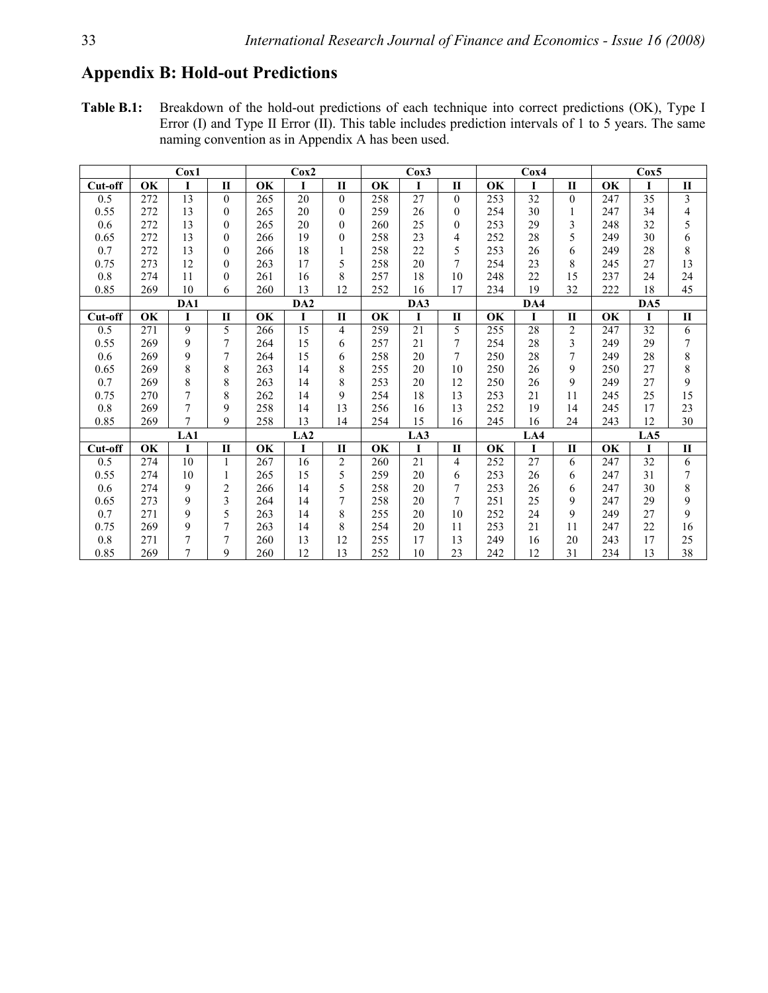## **Appendix B: Hold-out Predictions**

**Table B.1:** Breakdown of the hold-out predictions of each technique into correct predictions (OK), Type I Error (I) and Type II Error (II). This table includes prediction intervals of 1 to 5 years. The same naming convention as in Appendix A has been used.

|         |     | Cox1 |                  | Cox2      |                 |                  |     | Cox3        |                |     | Cox4 |                | $\cos 5$ |                 |                         |  |
|---------|-----|------|------------------|-----------|-----------------|------------------|-----|-------------|----------------|-----|------|----------------|----------|-----------------|-------------------------|--|
| Cut-off | OK  | I    | $\mathbf{I}$     | <b>OK</b> | I               | $\mathbf{I}$     | OK  | I           | П              | OK  | I    | $\mathbf{I}$   | OK       | L               | $\mathbf{I}$            |  |
| 0.5     | 272 | 13   | $\mathbf{0}$     | 265       | 20              | $\mathbf{0}$     | 258 | 27          | $\mathbf{0}$   | 253 | 32   | $\mathbf{0}$   | 247      | $\overline{35}$ | $\overline{\mathbf{3}}$ |  |
| 0.55    | 272 | 13   | $\theta$         | 265       | 20              | $\theta$         | 259 | 26          | $\theta$       | 254 | 30   |                | 247      | 34              | 4                       |  |
| 0.6     | 272 | 13   | $\theta$         | 265       | 20              | $\theta$         | 260 | 25          | $\theta$       | 253 | 29   | 3              | 248      | 32              | 5                       |  |
| 0.65    | 272 | 13   | $\boldsymbol{0}$ | 266       | 19              | $\boldsymbol{0}$ | 258 | 23          | 4              | 252 | 28   | 5              | 249      | 30              | 6                       |  |
| 0.7     | 272 | 13   | $\theta$         | 266       | 18              |                  | 258 | 22          | 5              | 253 | 26   | 6              | 249      | 28              | 8                       |  |
| 0.75    | 273 | 12   | $\theta$         | 263       | 17              | 5                | 258 | 20          | $\overline{7}$ | 254 | 23   | 8              | 245      | 27              | 13                      |  |
| $0.8\,$ | 274 | 11   | $\boldsymbol{0}$ | 261       | 16              | 8                | 257 | 18          | 10             | 248 | 22   | 15             | 237      | 24              | 24                      |  |
| 0.85    | 269 | 10   | 6                | 260       | 13              | 12               | 252 | 16          | 17             | 234 | 19   | 32             | 222      | 18              | 45                      |  |
|         |     | DA1  |                  |           | DA <sub>2</sub> |                  |     | DA3         |                |     | DA4  |                | DA5      |                 |                         |  |
| Cut-off | OK  | I    | $\mathbf{I}$     | OK        | I               | $\mathbf{I}$     | OK  | $\mathbf I$ | $\mathbf{I}$   | OK  | I    | $\mathbf{I}$   | OK       | T               | $\mathbf H$             |  |
| 0.5     | 271 | 9    | 5                | 266       | 15              | 4                | 259 | 21          | 5              | 255 | 28   | $\overline{c}$ | 247      | 32              | 6                       |  |
| 0.55    | 269 | 9    | 7                | 264       | 15              | 6                | 257 | 21          | 7              | 254 | 28   | 3              | 249      | 29              | 7                       |  |
| 0.6     | 269 | 9    | 7                | 264       | 15              | 6                | 258 | 20          | $\overline{7}$ | 250 | 28   | 7              | 249      | 28              | 8                       |  |
| 0.65    | 269 | 8    | 8                | 263       | 14              | 8                | 255 | 20          | 10             | 250 | 26   | 9              | 250      | 27              | $\,8\,$                 |  |
| 0.7     | 269 | 8    | 8                | 263       | 14              | 8                | 253 | 20          | 12             | 250 | 26   | 9              | 249      | 27              | 9                       |  |
| 0.75    | 270 | 7    | 8                | 262       | 14              | 9                | 254 | 18          | 13             | 253 | 21   | 11             | 245      | 25              | 15                      |  |
| $0.8\,$ | 269 | 7    | 9                | 258       | 14              | 13               | 256 | 16          | 13             | 252 | 19   | 14             | 245      | 17              | 23                      |  |
| 0.85    | 269 | 7    | 9                | 258       | 13              | 14               | 254 | 15          | 16             | 245 | 16   | 24             | 243      | 12              | 30                      |  |
|         |     | LA1  |                  |           | LA2             |                  |     | LA3         |                |     | LA4  |                |          | LA5             |                         |  |
| Cut-off | OK  | L    | $\mathbf{I}$     | OK        | $\mathbf I$     | $\mathbf{I}$     | OK  | $\mathbf I$ | П              | OK  | I    | $\mathbf{I}$   | OK       | $\mathbf{I}$    | $\mathbf{I}$            |  |
| 0.5     | 274 | 10   | 1                | 267       | 16              | $\overline{c}$   | 260 | 21          | $\overline{4}$ | 252 | 27   | 6              | 247      | 32              | 6                       |  |
| 0.55    | 274 | 10   |                  | 265       | 15              | 5                | 259 | 20          | 6              | 253 | 26   | 6              | 247      | 31              | 7                       |  |
| 0.6     | 274 | 9    | $\overline{c}$   | 266       | 14              | 5                | 258 | 20          | $\overline{7}$ | 253 | 26   | 6              | 247      | 30              | 8                       |  |
| 0.65    | 273 | 9    | 3                | 264       | 14              | 7                | 258 | 20          | $\overline{7}$ | 251 | 25   | 9              | 247      | 29              | 9                       |  |
| 0.7     | 271 | 9    | 5                | 263       | 14              | 8                | 255 | 20          | 10             | 252 | 24   | 9              | 249      | 27              | 9                       |  |
| 0.75    | 269 | 9    | $\overline{7}$   | 263       | 14              | 8                | 254 | 20          | 11             | 253 | 21   | 11             | 247      | 22              | 16                      |  |
| $0.8\,$ | 271 | 7    | 7                | 260       | 13              | 12               | 255 | 17          | 13             | 249 | 16   | 20             | 243      | 17              | 25                      |  |
| 0.85    | 269 | 7    | 9                | 260       | 12              | 13               | 252 | 10          | 23             | 242 | 12   | 31             | 234      | 13              | 38                      |  |